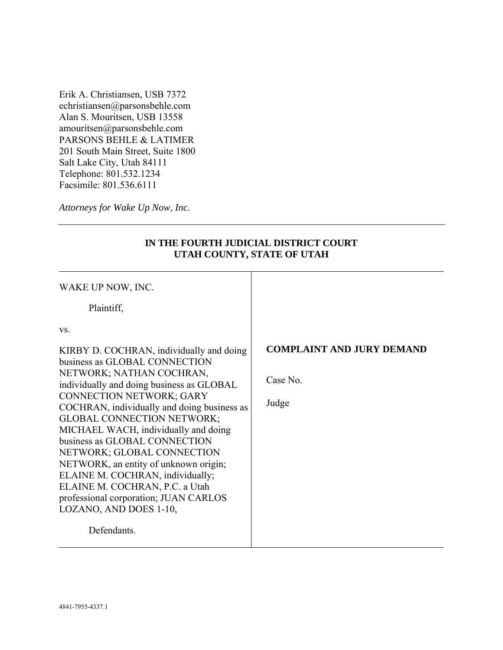Erik A. Christiansen, USB 7372 echristiansen@parsonsbehle.com Alan S. Mouritsen, USB 13558 amouritsen@parsonsbehle.com PARSONS BEHLE & LATIMER 201 South Main Street, Suite 1800 Salt Lake City, Utah 84111 Telephone: 801.532.1234 Facsimile: 801.536.6111

*Attorneys for Wake Up Now, Inc.* 

| WAKE UP NOW, INC.<br>Plaintiff,<br>VS.<br>KIRBY D. COCHRAN, individually and doing<br>business as GLOBAL CONNECTION<br>NETWORK; NATHAN COCHRAN,<br>individually and doing business as GLOBAL<br><b>CONNECTION NETWORK; GARY</b><br>COCHRAN, individually and doing business as<br><b>GLOBAL CONNECTION NETWORK;</b><br>MICHAEL WACH, individually and doing<br>business as GLOBAL CONNECTION<br>NETWORK; GLOBAL CONNECTION<br>NETWORK, an entity of unknown origin;<br>ELAINE M. COCHRAN, individually;<br>ELAINE M. COCHRAN, P.C. a Utah<br>professional corporation; JUAN CARLOS<br>LOZANO, AND DOES 1-10, | <b>COMPLAINT AND JURY DEMAND</b><br>Case No.<br>Judge |
|--------------------------------------------------------------------------------------------------------------------------------------------------------------------------------------------------------------------------------------------------------------------------------------------------------------------------------------------------------------------------------------------------------------------------------------------------------------------------------------------------------------------------------------------------------------------------------------------------------------|-------------------------------------------------------|
| Defendants.                                                                                                                                                                                                                                                                                                                                                                                                                                                                                                                                                                                                  |                                                       |

## **IN THE FOURTH JUDICIAL DISTRICT COURT UTAH COUNTY, STATE OF UTAH**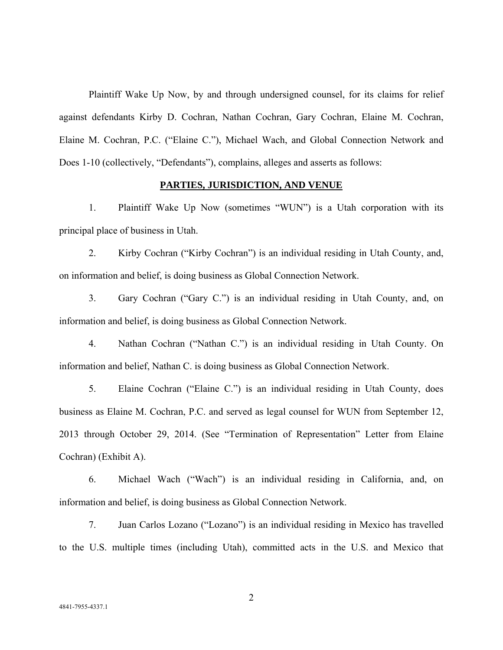Plaintiff Wake Up Now, by and through undersigned counsel, for its claims for relief against defendants Kirby D. Cochran, Nathan Cochran, Gary Cochran, Elaine M. Cochran, Elaine M. Cochran, P.C. ("Elaine C."), Michael Wach, and Global Connection Network and Does 1-10 (collectively, "Defendants"), complains, alleges and asserts as follows:

### **PARTIES, JURISDICTION, AND VENUE**

1. Plaintiff Wake Up Now (sometimes "WUN") is a Utah corporation with its principal place of business in Utah.

2. Kirby Cochran ("Kirby Cochran") is an individual residing in Utah County, and, on information and belief, is doing business as Global Connection Network.

3. Gary Cochran ("Gary C.") is an individual residing in Utah County, and, on information and belief, is doing business as Global Connection Network.

4. Nathan Cochran ("Nathan C.") is an individual residing in Utah County. On information and belief, Nathan C. is doing business as Global Connection Network.

5. Elaine Cochran ("Elaine C.") is an individual residing in Utah County, does business as Elaine M. Cochran, P.C. and served as legal counsel for WUN from September 12, 2013 through October 29, 2014. (See "Termination of Representation" Letter from Elaine Cochran) (Exhibit A).

6. Michael Wach ("Wach") is an individual residing in California, and, on information and belief, is doing business as Global Connection Network.

7. Juan Carlos Lozano ("Lozano") is an individual residing in Mexico has travelled to the U.S. multiple times (including Utah), committed acts in the U.S. and Mexico that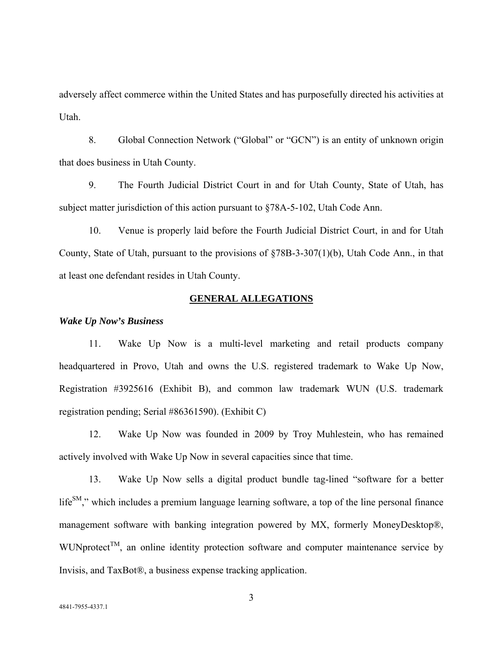adversely affect commerce within the United States and has purposefully directed his activities at Utah.

8. Global Connection Network ("Global" or "GCN") is an entity of unknown origin that does business in Utah County.

9. The Fourth Judicial District Court in and for Utah County, State of Utah, has subject matter jurisdiction of this action pursuant to §78A-5-102, Utah Code Ann.

10. Venue is properly laid before the Fourth Judicial District Court, in and for Utah County, State of Utah, pursuant to the provisions of §78B-3-307(1)(b), Utah Code Ann., in that at least one defendant resides in Utah County.

### **GENERAL ALLEGATIONS**

*Wake Up Now's Business* 

11. Wake Up Now is a multi-level marketing and retail products company headquartered in Provo, Utah and owns the U.S. registered trademark to Wake Up Now, Registration #3925616 (Exhibit B), and common law trademark WUN (U.S. trademark registration pending; Serial #86361590). (Exhibit C)

12. Wake Up Now was founded in 2009 by Troy Muhlestein, who has remained actively involved with Wake Up Now in several capacities since that time.

13. Wake Up Now sells a digital product bundle tag-lined "software for a better  $life^{SM}$ ," which includes a premium language learning software, a top of the line personal finance management software with banking integration powered by MX, formerly MoneyDesktop®, WUNprotect<sup>TM</sup>, an online identity protection software and computer maintenance service by Invisis, and TaxBot®, a business expense tracking application.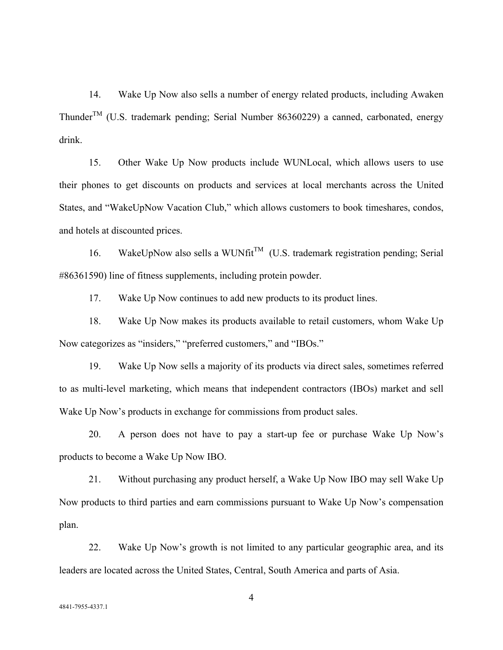14. Wake Up Now also sells a number of energy related products, including Awaken Thunder<sup>TM</sup> (U.S. trademark pending; Serial Number 86360229) a canned, carbonated, energy drink.

15. Other Wake Up Now products include WUNLocal, which allows users to use their phones to get discounts on products and services at local merchants across the United States, and "WakeUpNow Vacation Club," which allows customers to book timeshares, condos, and hotels at discounted prices.

16. WakeUpNow also sells a WUNfit<sup>TM</sup> (U.S. trademark registration pending; Serial #86361590) line of fitness supplements, including protein powder.

17. Wake Up Now continues to add new products to its product lines.

18. Wake Up Now makes its products available to retail customers, whom Wake Up Now categorizes as "insiders," "preferred customers," and "IBOs."

19. Wake Up Now sells a majority of its products via direct sales, sometimes referred to as multi-level marketing, which means that independent contractors (IBOs) market and sell Wake Up Now's products in exchange for commissions from product sales.

20. A person does not have to pay a start-up fee or purchase Wake Up Now's products to become a Wake Up Now IBO.

21. Without purchasing any product herself, a Wake Up Now IBO may sell Wake Up Now products to third parties and earn commissions pursuant to Wake Up Now's compensation plan.

22. Wake Up Now's growth is not limited to any particular geographic area, and its leaders are located across the United States, Central, South America and parts of Asia.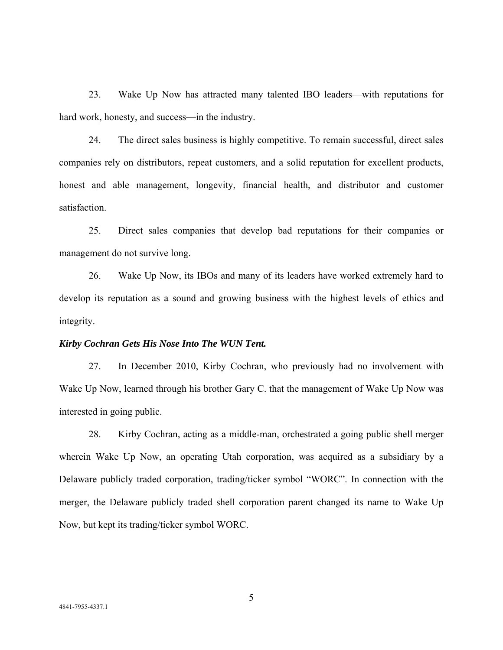23. Wake Up Now has attracted many talented IBO leaders—with reputations for hard work, honesty, and success—in the industry.

24. The direct sales business is highly competitive. To remain successful, direct sales companies rely on distributors, repeat customers, and a solid reputation for excellent products, honest and able management, longevity, financial health, and distributor and customer satisfaction.

25. Direct sales companies that develop bad reputations for their companies or management do not survive long.

26. Wake Up Now, its IBOs and many of its leaders have worked extremely hard to develop its reputation as a sound and growing business with the highest levels of ethics and integrity.

#### *Kirby Cochran Gets His Nose Into The WUN Tent.*

27. In December 2010, Kirby Cochran, who previously had no involvement with Wake Up Now, learned through his brother Gary C. that the management of Wake Up Now was interested in going public.

28. Kirby Cochran, acting as a middle-man, orchestrated a going public shell merger wherein Wake Up Now, an operating Utah corporation, was acquired as a subsidiary by a Delaware publicly traded corporation, trading/ticker symbol "WORC". In connection with the merger, the Delaware publicly traded shell corporation parent changed its name to Wake Up Now, but kept its trading/ticker symbol WORC.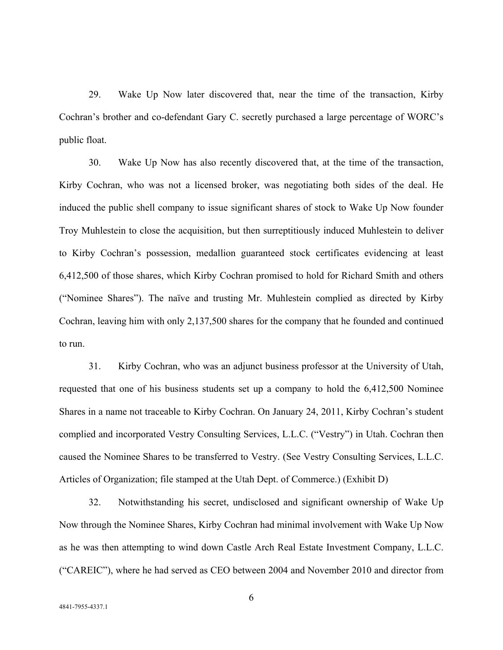29. Wake Up Now later discovered that, near the time of the transaction, Kirby Cochran's brother and co-defendant Gary C. secretly purchased a large percentage of WORC's public float.

30. Wake Up Now has also recently discovered that, at the time of the transaction, Kirby Cochran, who was not a licensed broker, was negotiating both sides of the deal. He induced the public shell company to issue significant shares of stock to Wake Up Now founder Troy Muhlestein to close the acquisition, but then surreptitiously induced Muhlestein to deliver to Kirby Cochran's possession, medallion guaranteed stock certificates evidencing at least 6,412,500 of those shares, which Kirby Cochran promised to hold for Richard Smith and others ("Nominee Shares"). The naïve and trusting Mr. Muhlestein complied as directed by Kirby Cochran, leaving him with only 2,137,500 shares for the company that he founded and continued to run.

31. Kirby Cochran, who was an adjunct business professor at the University of Utah, requested that one of his business students set up a company to hold the 6,412,500 Nominee Shares in a name not traceable to Kirby Cochran. On January 24, 2011, Kirby Cochran's student complied and incorporated Vestry Consulting Services, L.L.C. ("Vestry") in Utah. Cochran then caused the Nominee Shares to be transferred to Vestry. (See Vestry Consulting Services, L.L.C. Articles of Organization; file stamped at the Utah Dept. of Commerce.) (Exhibit D)

32. Notwithstanding his secret, undisclosed and significant ownership of Wake Up Now through the Nominee Shares, Kirby Cochran had minimal involvement with Wake Up Now as he was then attempting to wind down Castle Arch Real Estate Investment Company, L.L.C. ("CAREIC"), where he had served as CEO between 2004 and November 2010 and director from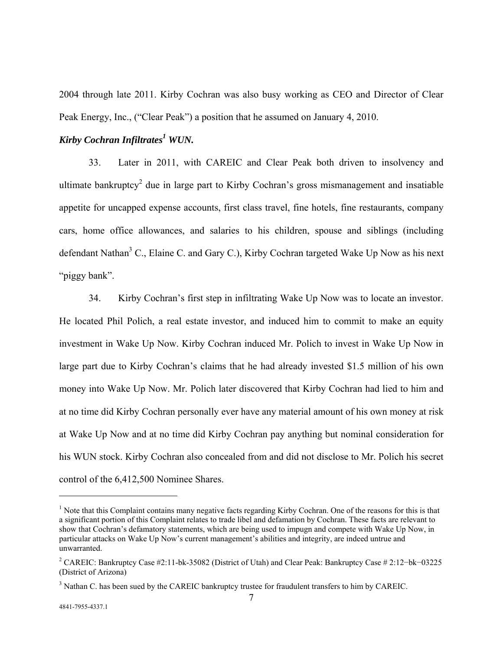2004 through late 2011. Kirby Cochran was also busy working as CEO and Director of Clear Peak Energy, Inc., ("Clear Peak") a position that he assumed on January 4, 2010.

# *Kirby Cochran Infiltrates<sup>1</sup> WUN.*

33. Later in 2011, with CAREIC and Clear Peak both driven to insolvency and ultimate bankruptcy<sup>2</sup> due in large part to Kirby Cochran's gross mismanagement and insatiable appetite for uncapped expense accounts, first class travel, fine hotels, fine restaurants, company cars, home office allowances, and salaries to his children, spouse and siblings (including defendant Nathan<sup>3</sup> C., Elaine C. and Gary C.), Kirby Cochran targeted Wake Up Now as his next "piggy bank".

34. Kirby Cochran's first step in infiltrating Wake Up Now was to locate an investor. He located Phil Polich, a real estate investor, and induced him to commit to make an equity investment in Wake Up Now. Kirby Cochran induced Mr. Polich to invest in Wake Up Now in large part due to Kirby Cochran's claims that he had already invested \$1.5 million of his own money into Wake Up Now. Mr. Polich later discovered that Kirby Cochran had lied to him and at no time did Kirby Cochran personally ever have any material amount of his own money at risk at Wake Up Now and at no time did Kirby Cochran pay anything but nominal consideration for his WUN stock. Kirby Cochran also concealed from and did not disclose to Mr. Polich his secret control of the 6,412,500 Nominee Shares.

<sup>&</sup>lt;sup>1</sup> Note that this Complaint contains many negative facts regarding Kirby Cochran. One of the reasons for this is that a significant portion of this Complaint relates to trade libel and defamation by Cochran. These facts are relevant to show that Cochran's defamatory statements, which are being used to impugn and compete with Wake Up Now, in particular attacks on Wake Up Now's current management's abilities and integrity, are indeed untrue and unwarranted.

<sup>2</sup> CAREIC: Bankruptcy Case #2:11-bk-35082 (District of Utah) and Clear Peak: Bankruptcy Case # 2:12−bk−03225 (District of Arizona)

 $3$  Nathan C. has been sued by the CAREIC bankruptcy trustee for fraudulent transfers to him by CAREIC.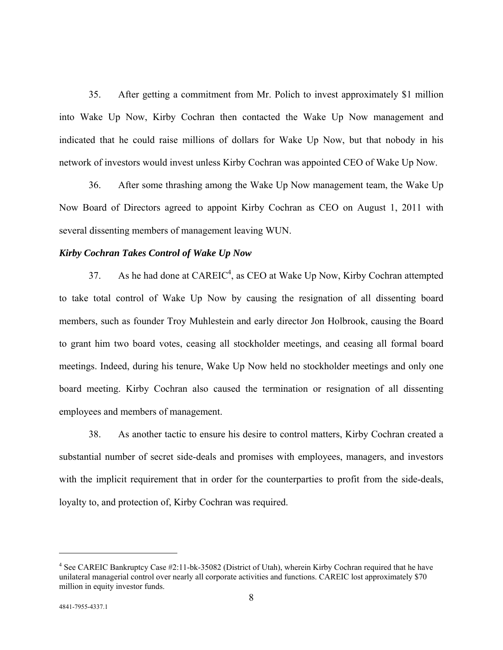35. After getting a commitment from Mr. Polich to invest approximately \$1 million into Wake Up Now, Kirby Cochran then contacted the Wake Up Now management and indicated that he could raise millions of dollars for Wake Up Now, but that nobody in his network of investors would invest unless Kirby Cochran was appointed CEO of Wake Up Now.

36. After some thrashing among the Wake Up Now management team, the Wake Up Now Board of Directors agreed to appoint Kirby Cochran as CEO on August 1, 2011 with several dissenting members of management leaving WUN.

### *Kirby Cochran Takes Control of Wake Up Now*

37. As he had done at  $CAREIC<sup>4</sup>$ , as CEO at Wake Up Now, Kirby Cochran attempted to take total control of Wake Up Now by causing the resignation of all dissenting board members, such as founder Troy Muhlestein and early director Jon Holbrook, causing the Board to grant him two board votes, ceasing all stockholder meetings, and ceasing all formal board meetings. Indeed, during his tenure, Wake Up Now held no stockholder meetings and only one board meeting. Kirby Cochran also caused the termination or resignation of all dissenting employees and members of management.

38. As another tactic to ensure his desire to control matters, Kirby Cochran created a substantial number of secret side-deals and promises with employees, managers, and investors with the implicit requirement that in order for the counterparties to profit from the side-deals, loyalty to, and protection of, Kirby Cochran was required.

 $\overline{a}$ 

<sup>&</sup>lt;sup>4</sup> See CAREIC Bankruptcy Case #2:11-bk-35082 (District of Utah), wherein Kirby Cochran required that he have unilateral managerial control over nearly all corporate activities and functions. CAREIC lost approximately \$70 million in equity investor funds.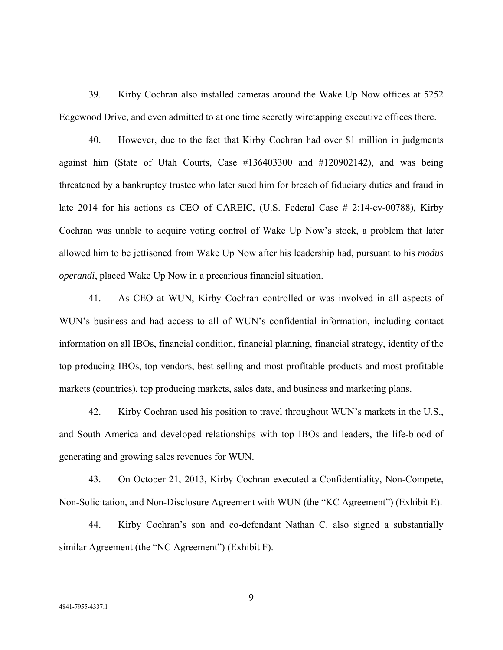39. Kirby Cochran also installed cameras around the Wake Up Now offices at 5252 Edgewood Drive, and even admitted to at one time secretly wiretapping executive offices there.

40. However, due to the fact that Kirby Cochran had over \$1 million in judgments against him (State of Utah Courts, Case #136403300 and #120902142), and was being threatened by a bankruptcy trustee who later sued him for breach of fiduciary duties and fraud in late 2014 for his actions as CEO of CAREIC, (U.S. Federal Case # 2:14-cv-00788), Kirby Cochran was unable to acquire voting control of Wake Up Now's stock, a problem that later allowed him to be jettisoned from Wake Up Now after his leadership had, pursuant to his *modus operandi*, placed Wake Up Now in a precarious financial situation.

41. As CEO at WUN, Kirby Cochran controlled or was involved in all aspects of WUN's business and had access to all of WUN's confidential information, including contact information on all IBOs, financial condition, financial planning, financial strategy, identity of the top producing IBOs, top vendors, best selling and most profitable products and most profitable markets (countries), top producing markets, sales data, and business and marketing plans.

42. Kirby Cochran used his position to travel throughout WUN's markets in the U.S., and South America and developed relationships with top IBOs and leaders, the life-blood of generating and growing sales revenues for WUN.

43. On October 21, 2013, Kirby Cochran executed a Confidentiality, Non-Compete, Non-Solicitation, and Non-Disclosure Agreement with WUN (the "KC Agreement") (Exhibit E).

44. Kirby Cochran's son and co-defendant Nathan C. also signed a substantially similar Agreement (the "NC Agreement") (Exhibit F).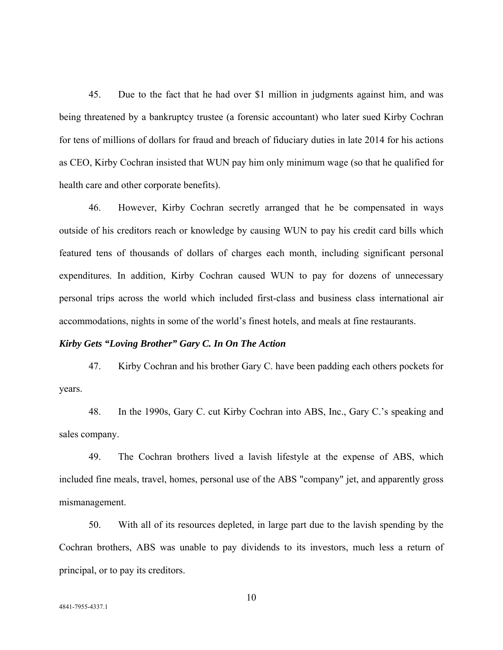45. Due to the fact that he had over \$1 million in judgments against him, and was being threatened by a bankruptcy trustee (a forensic accountant) who later sued Kirby Cochran for tens of millions of dollars for fraud and breach of fiduciary duties in late 2014 for his actions as CEO, Kirby Cochran insisted that WUN pay him only minimum wage (so that he qualified for health care and other corporate benefits).

46. However, Kirby Cochran secretly arranged that he be compensated in ways outside of his creditors reach or knowledge by causing WUN to pay his credit card bills which featured tens of thousands of dollars of charges each month, including significant personal expenditures. In addition, Kirby Cochran caused WUN to pay for dozens of unnecessary personal trips across the world which included first-class and business class international air accommodations, nights in some of the world's finest hotels, and meals at fine restaurants.

### *Kirby Gets "Loving Brother" Gary C. In On The Action*

47. Kirby Cochran and his brother Gary C. have been padding each others pockets for years.

48. In the 1990s, Gary C. cut Kirby Cochran into ABS, Inc., Gary C.'s speaking and sales company.

49. The Cochran brothers lived a lavish lifestyle at the expense of ABS, which included fine meals, travel, homes, personal use of the ABS "company" jet, and apparently gross mismanagement.

50. With all of its resources depleted, in large part due to the lavish spending by the Cochran brothers, ABS was unable to pay dividends to its investors, much less a return of principal, or to pay its creditors.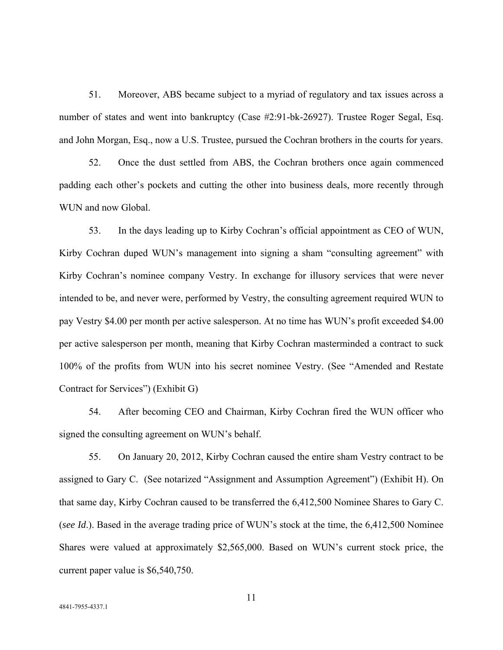51. Moreover, ABS became subject to a myriad of regulatory and tax issues across a number of states and went into bankruptcy (Case #2:91-bk-26927). Trustee Roger Segal, Esq. and John Morgan, Esq., now a U.S. Trustee, pursued the Cochran brothers in the courts for years.

52. Once the dust settled from ABS, the Cochran brothers once again commenced padding each other's pockets and cutting the other into business deals, more recently through WUN and now Global.

53. In the days leading up to Kirby Cochran's official appointment as CEO of WUN, Kirby Cochran duped WUN's management into signing a sham "consulting agreement" with Kirby Cochran's nominee company Vestry. In exchange for illusory services that were never intended to be, and never were, performed by Vestry, the consulting agreement required WUN to pay Vestry \$4.00 per month per active salesperson. At no time has WUN's profit exceeded \$4.00 per active salesperson per month, meaning that Kirby Cochran masterminded a contract to suck 100% of the profits from WUN into his secret nominee Vestry. (See "Amended and Restate Contract for Services") (Exhibit G)

54. After becoming CEO and Chairman, Kirby Cochran fired the WUN officer who signed the consulting agreement on WUN's behalf.

55. On January 20, 2012, Kirby Cochran caused the entire sham Vestry contract to be assigned to Gary C. (See notarized "Assignment and Assumption Agreement") (Exhibit H). On that same day, Kirby Cochran caused to be transferred the 6,412,500 Nominee Shares to Gary C. (*see Id*.). Based in the average trading price of WUN's stock at the time, the 6,412,500 Nominee Shares were valued at approximately \$2,565,000. Based on WUN's current stock price, the current paper value is \$6,540,750.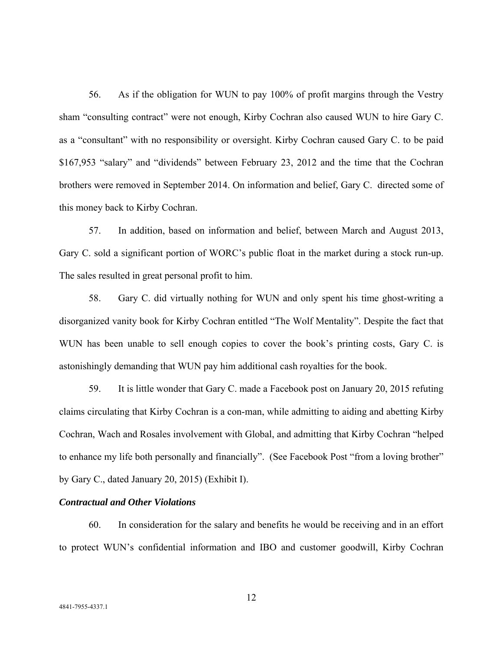56. As if the obligation for WUN to pay 100% of profit margins through the Vestry sham "consulting contract" were not enough, Kirby Cochran also caused WUN to hire Gary C. as a "consultant" with no responsibility or oversight. Kirby Cochran caused Gary C. to be paid \$167,953 "salary" and "dividends" between February 23, 2012 and the time that the Cochran brothers were removed in September 2014. On information and belief, Gary C. directed some of this money back to Kirby Cochran.

57. In addition, based on information and belief, between March and August 2013, Gary C. sold a significant portion of WORC's public float in the market during a stock run-up. The sales resulted in great personal profit to him.

58. Gary C. did virtually nothing for WUN and only spent his time ghost-writing a disorganized vanity book for Kirby Cochran entitled "The Wolf Mentality". Despite the fact that WUN has been unable to sell enough copies to cover the book's printing costs, Gary C. is astonishingly demanding that WUN pay him additional cash royalties for the book.

59. It is little wonder that Gary C. made a Facebook post on January 20, 2015 refuting claims circulating that Kirby Cochran is a con-man, while admitting to aiding and abetting Kirby Cochran, Wach and Rosales involvement with Global, and admitting that Kirby Cochran "helped to enhance my life both personally and financially". (See Facebook Post "from a loving brother" by Gary C., dated January 20, 2015) (Exhibit I).

## *Contractual and Other Violations*

60. In consideration for the salary and benefits he would be receiving and in an effort to protect WUN's confidential information and IBO and customer goodwill, Kirby Cochran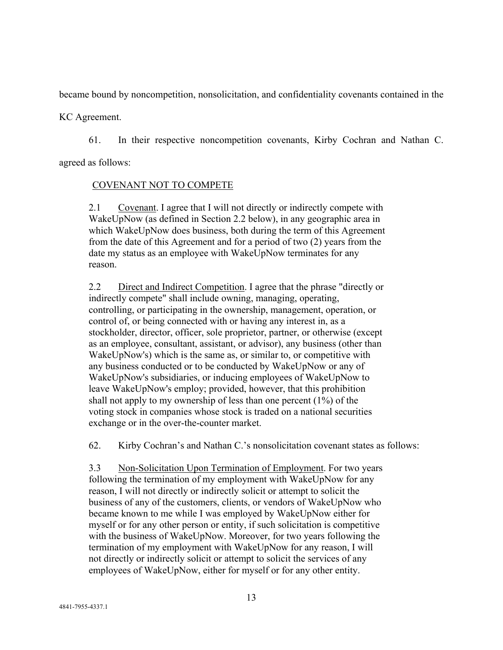became bound by noncompetition, nonsolicitation, and confidentiality covenants contained in the

KC Agreement.

61. In their respective noncompetition covenants, Kirby Cochran and Nathan C.

agreed as follows:

## COVENANT NOT TO COMPETE

2.1 Covenant. I agree that I will not directly or indirectly compete with WakeUpNow (as defined in Section 2.2 below), in any geographic area in which WakeUpNow does business, both during the term of this Agreement from the date of this Agreement and for a period of two (2) years from the date my status as an employee with WakeUpNow terminates for any reason.

2.2 Direct and Indirect Competition. I agree that the phrase "directly or indirectly compete" shall include owning, managing, operating, controlling, or participating in the ownership, management, operation, or control of, or being connected with or having any interest in, as a stockholder, director, officer, sole proprietor, partner, or otherwise (except as an employee, consultant, assistant, or advisor), any business (other than WakeUpNow's) which is the same as, or similar to, or competitive with any business conducted or to be conducted by WakeUpNow or any of WakeUpNow's subsidiaries, or inducing employees of WakeUpNow to leave WakeUpNow's employ; provided, however, that this prohibition shall not apply to my ownership of less than one percent (1%) of the voting stock in companies whose stock is traded on a national securities exchange or in the over-the-counter market.

62. Kirby Cochran's and Nathan C.'s nonsolicitation covenant states as follows:

3.3 Non-Solicitation Upon Termination of Employment. For two years following the termination of my employment with WakeUpNow for any reason, I will not directly or indirectly solicit or attempt to solicit the business of any of the customers, clients, or vendors of WakeUpNow who became known to me while I was employed by WakeUpNow either for myself or for any other person or entity, if such solicitation is competitive with the business of WakeUpNow. Moreover, for two years following the termination of my employment with WakeUpNow for any reason, I will not directly or indirectly solicit or attempt to solicit the services of any employees of WakeUpNow, either for myself or for any other entity.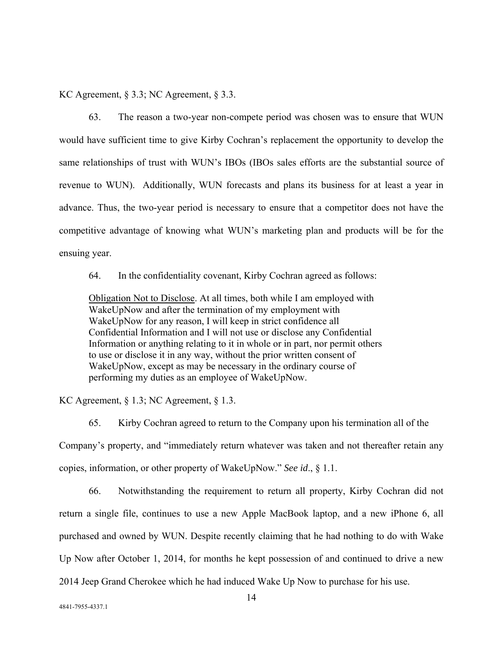KC Agreement, § 3.3; NC Agreement, § 3.3.

63. The reason a two-year non-compete period was chosen was to ensure that WUN would have sufficient time to give Kirby Cochran's replacement the opportunity to develop the same relationships of trust with WUN's IBOs (IBOs sales efforts are the substantial source of revenue to WUN). Additionally, WUN forecasts and plans its business for at least a year in advance. Thus, the two-year period is necessary to ensure that a competitor does not have the competitive advantage of knowing what WUN's marketing plan and products will be for the ensuing year.

64. In the confidentiality covenant, Kirby Cochran agreed as follows:

Obligation Not to Disclose. At all times, both while I am employed with WakeUpNow and after the termination of my employment with WakeUpNow for any reason, I will keep in strict confidence all Confidential Information and I will not use or disclose any Confidential Information or anything relating to it in whole or in part, nor permit others to use or disclose it in any way, without the prior written consent of WakeUpNow, except as may be necessary in the ordinary course of performing my duties as an employee of WakeUpNow.

KC Agreement, § 1.3; NC Agreement, § 1.3.

65. Kirby Cochran agreed to return to the Company upon his termination all of the Company's property, and "immediately return whatever was taken and not thereafter retain any copies, information, or other property of WakeUpNow." *See id*., § 1.1.

66. Notwithstanding the requirement to return all property, Kirby Cochran did not return a single file, continues to use a new Apple MacBook laptop, and a new iPhone 6, all purchased and owned by WUN. Despite recently claiming that he had nothing to do with Wake Up Now after October 1, 2014, for months he kept possession of and continued to drive a new 2014 Jeep Grand Cherokee which he had induced Wake Up Now to purchase for his use.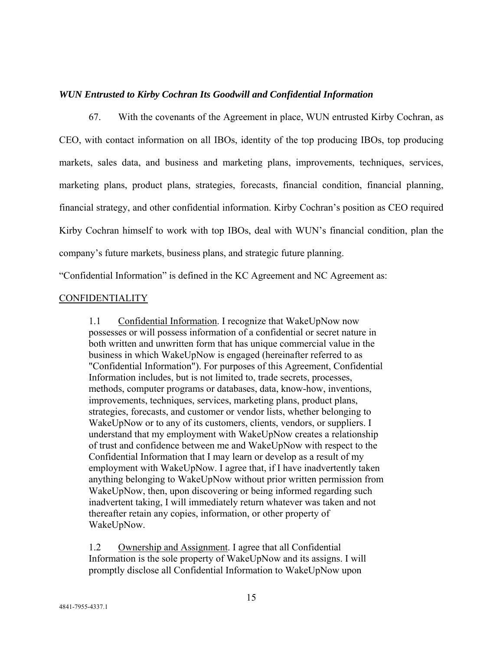### *WUN Entrusted to Kirby Cochran Its Goodwill and Confidential Information*

67. With the covenants of the Agreement in place, WUN entrusted Kirby Cochran, as CEO, with contact information on all IBOs, identity of the top producing IBOs, top producing markets, sales data, and business and marketing plans, improvements, techniques, services, marketing plans, product plans, strategies, forecasts, financial condition, financial planning, financial strategy, and other confidential information. Kirby Cochran's position as CEO required Kirby Cochran himself to work with top IBOs, deal with WUN's financial condition, plan the company's future markets, business plans, and strategic future planning.

"Confidential Information" is defined in the KC Agreement and NC Agreement as:

## CONFIDENTIALITY

1.1 Confidential Information. I recognize that WakeUpNow now possesses or will possess information of a confidential or secret nature in both written and unwritten form that has unique commercial value in the business in which WakeUpNow is engaged (hereinafter referred to as "Confidential Information"). For purposes of this Agreement, Confidential Information includes, but is not limited to, trade secrets, processes, methods, computer programs or databases, data, know-how, inventions, improvements, techniques, services, marketing plans, product plans, strategies, forecasts, and customer or vendor lists, whether belonging to WakeUpNow or to any of its customers, clients, vendors, or suppliers. I understand that my employment with WakeUpNow creates a relationship of trust and confidence between me and WakeUpNow with respect to the Confidential Information that I may learn or develop as a result of my employment with WakeUpNow. I agree that, if I have inadvertently taken anything belonging to WakeUpNow without prior written permission from WakeUpNow, then, upon discovering or being informed regarding such inadvertent taking, I will immediately return whatever was taken and not thereafter retain any copies, information, or other property of WakeUpNow.

1.2 Ownership and Assignment. I agree that all Confidential Information is the sole property of WakeUpNow and its assigns. I will promptly disclose all Confidential Information to WakeUpNow upon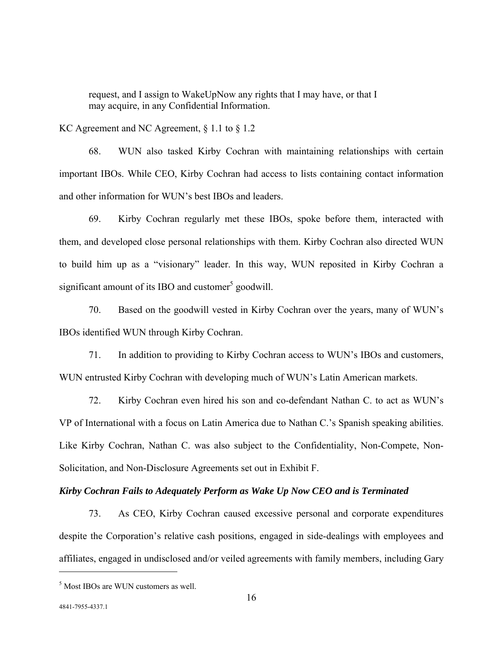request, and I assign to WakeUpNow any rights that I may have, or that I may acquire, in any Confidential Information.

KC Agreement and NC Agreement, § 1.1 to § 1.2

68. WUN also tasked Kirby Cochran with maintaining relationships with certain important IBOs. While CEO, Kirby Cochran had access to lists containing contact information and other information for WUN's best IBOs and leaders.

69. Kirby Cochran regularly met these IBOs, spoke before them, interacted with them, and developed close personal relationships with them. Kirby Cochran also directed WUN to build him up as a "visionary" leader. In this way, WUN reposited in Kirby Cochran a significant amount of its IBO and customer<sup>5</sup> goodwill.

70. Based on the goodwill vested in Kirby Cochran over the years, many of WUN's IBOs identified WUN through Kirby Cochran.

71. In addition to providing to Kirby Cochran access to WUN's IBOs and customers, WUN entrusted Kirby Cochran with developing much of WUN's Latin American markets.

72. Kirby Cochran even hired his son and co-defendant Nathan C. to act as WUN's VP of International with a focus on Latin America due to Nathan C.'s Spanish speaking abilities. Like Kirby Cochran, Nathan C. was also subject to the Confidentiality, Non-Compete, Non-Solicitation, and Non-Disclosure Agreements set out in Exhibit F.

#### *Kirby Cochran Fails to Adequately Perform as Wake Up Now CEO and is Terminated*

73. As CEO, Kirby Cochran caused excessive personal and corporate expenditures despite the Corporation's relative cash positions, engaged in side-dealings with employees and affiliates, engaged in undisclosed and/or veiled agreements with family members, including Gary

<u>.</u>

<sup>5</sup> Most IBOs are WUN customers as well.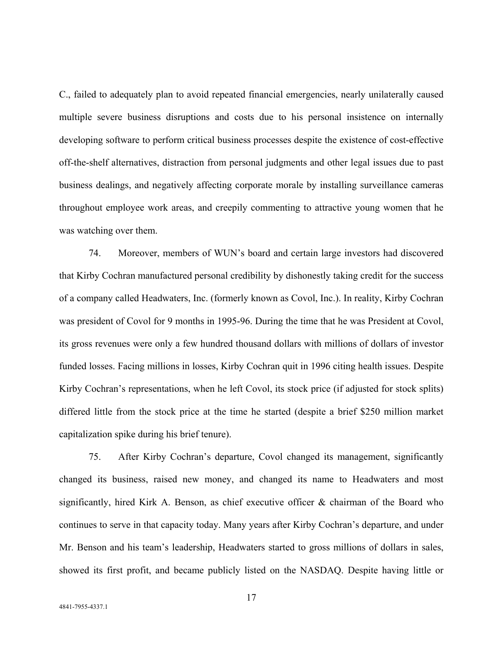C., failed to adequately plan to avoid repeated financial emergencies, nearly unilaterally caused multiple severe business disruptions and costs due to his personal insistence on internally developing software to perform critical business processes despite the existence of cost-effective off-the-shelf alternatives, distraction from personal judgments and other legal issues due to past business dealings, and negatively affecting corporate morale by installing surveillance cameras throughout employee work areas, and creepily commenting to attractive young women that he was watching over them.

74. Moreover, members of WUN's board and certain large investors had discovered that Kirby Cochran manufactured personal credibility by dishonestly taking credit for the success of a company called Headwaters, Inc. (formerly known as Covol, Inc.). In reality, Kirby Cochran was president of Covol for 9 months in 1995-96. During the time that he was President at Covol, its gross revenues were only a few hundred thousand dollars with millions of dollars of investor funded losses. Facing millions in losses, Kirby Cochran quit in 1996 citing health issues. Despite Kirby Cochran's representations, when he left Covol, its stock price (if adjusted for stock splits) differed little from the stock price at the time he started (despite a brief \$250 million market capitalization spike during his brief tenure).

75. After Kirby Cochran's departure, Covol changed its management, significantly changed its business, raised new money, and changed its name to Headwaters and most significantly, hired Kirk A. Benson, as chief executive officer & chairman of the Board who continues to serve in that capacity today. Many years after Kirby Cochran's departure, and under Mr. Benson and his team's leadership, Headwaters started to gross millions of dollars in sales, showed its first profit, and became publicly listed on the NASDAQ. Despite having little or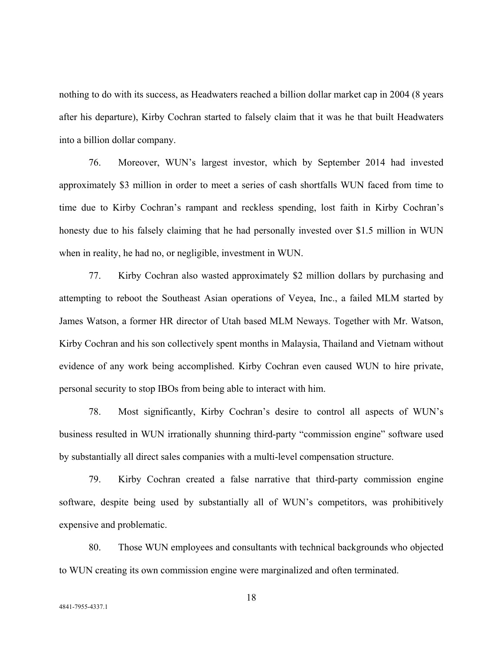nothing to do with its success, as Headwaters reached a billion dollar market cap in 2004 (8 years after his departure), Kirby Cochran started to falsely claim that it was he that built Headwaters into a billion dollar company.

76. Moreover, WUN's largest investor, which by September 2014 had invested approximately \$3 million in order to meet a series of cash shortfalls WUN faced from time to time due to Kirby Cochran's rampant and reckless spending, lost faith in Kirby Cochran's honesty due to his falsely claiming that he had personally invested over \$1.5 million in WUN when in reality, he had no, or negligible, investment in WUN.

77. Kirby Cochran also wasted approximately \$2 million dollars by purchasing and attempting to reboot the Southeast Asian operations of Veyea, Inc., a failed MLM started by James Watson, a former HR director of Utah based MLM Neways. Together with Mr. Watson, Kirby Cochran and his son collectively spent months in Malaysia, Thailand and Vietnam without evidence of any work being accomplished. Kirby Cochran even caused WUN to hire private, personal security to stop IBOs from being able to interact with him.

78. Most significantly, Kirby Cochran's desire to control all aspects of WUN's business resulted in WUN irrationally shunning third-party "commission engine" software used by substantially all direct sales companies with a multi-level compensation structure.

79. Kirby Cochran created a false narrative that third-party commission engine software, despite being used by substantially all of WUN's competitors, was prohibitively expensive and problematic.

80. Those WUN employees and consultants with technical backgrounds who objected to WUN creating its own commission engine were marginalized and often terminated.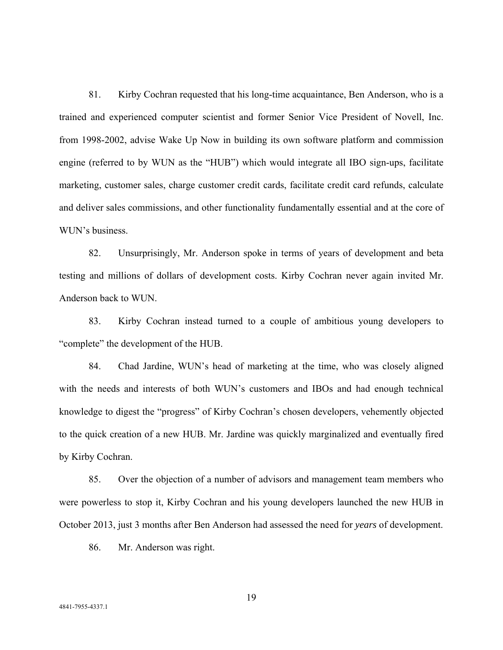81. Kirby Cochran requested that his long-time acquaintance, Ben Anderson, who is a trained and experienced computer scientist and former Senior Vice President of Novell, Inc. from 1998-2002, advise Wake Up Now in building its own software platform and commission engine (referred to by WUN as the "HUB") which would integrate all IBO sign-ups, facilitate marketing, customer sales, charge customer credit cards, facilitate credit card refunds, calculate and deliver sales commissions, and other functionality fundamentally essential and at the core of WUN's business.

82. Unsurprisingly, Mr. Anderson spoke in terms of years of development and beta testing and millions of dollars of development costs. Kirby Cochran never again invited Mr. Anderson back to WUN.

83. Kirby Cochran instead turned to a couple of ambitious young developers to "complete" the development of the HUB.

84. Chad Jardine, WUN's head of marketing at the time, who was closely aligned with the needs and interests of both WUN's customers and IBOs and had enough technical knowledge to digest the "progress" of Kirby Cochran's chosen developers, vehemently objected to the quick creation of a new HUB. Mr. Jardine was quickly marginalized and eventually fired by Kirby Cochran.

85. Over the objection of a number of advisors and management team members who were powerless to stop it, Kirby Cochran and his young developers launched the new HUB in October 2013, just 3 months after Ben Anderson had assessed the need for *years* of development.

86. Mr. Anderson was right.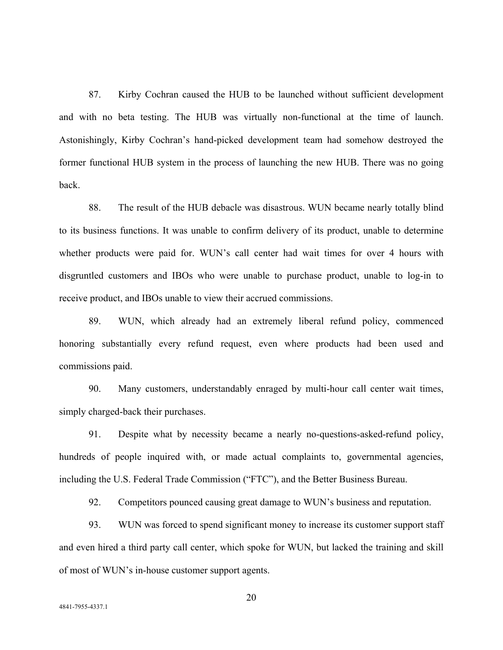87. Kirby Cochran caused the HUB to be launched without sufficient development and with no beta testing. The HUB was virtually non-functional at the time of launch. Astonishingly, Kirby Cochran's hand-picked development team had somehow destroyed the former functional HUB system in the process of launching the new HUB. There was no going back.

88. The result of the HUB debacle was disastrous. WUN became nearly totally blind to its business functions. It was unable to confirm delivery of its product, unable to determine whether products were paid for. WUN's call center had wait times for over 4 hours with disgruntled customers and IBOs who were unable to purchase product, unable to log-in to receive product, and IBOs unable to view their accrued commissions.

89. WUN, which already had an extremely liberal refund policy, commenced honoring substantially every refund request, even where products had been used and commissions paid.

90. Many customers, understandably enraged by multi-hour call center wait times, simply charged-back their purchases.

91. Despite what by necessity became a nearly no-questions-asked-refund policy, hundreds of people inquired with, or made actual complaints to, governmental agencies, including the U.S. Federal Trade Commission ("FTC"), and the Better Business Bureau.

92. Competitors pounced causing great damage to WUN's business and reputation.

93. WUN was forced to spend significant money to increase its customer support staff and even hired a third party call center, which spoke for WUN, but lacked the training and skill of most of WUN's in-house customer support agents.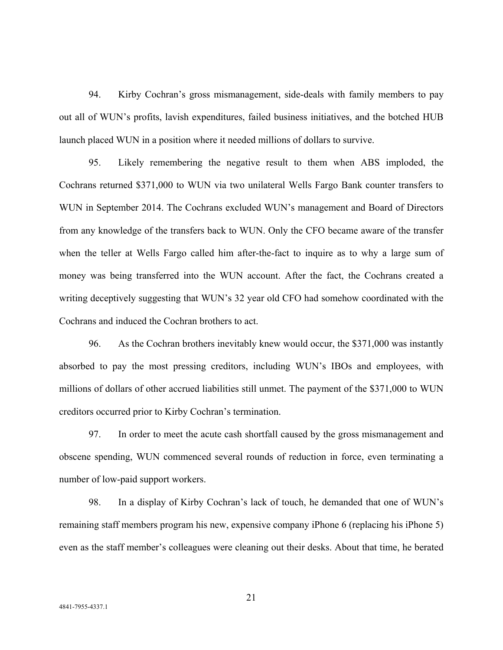94. Kirby Cochran's gross mismanagement, side-deals with family members to pay out all of WUN's profits, lavish expenditures, failed business initiatives, and the botched HUB launch placed WUN in a position where it needed millions of dollars to survive.

95. Likely remembering the negative result to them when ABS imploded, the Cochrans returned \$371,000 to WUN via two unilateral Wells Fargo Bank counter transfers to WUN in September 2014. The Cochrans excluded WUN's management and Board of Directors from any knowledge of the transfers back to WUN. Only the CFO became aware of the transfer when the teller at Wells Fargo called him after-the-fact to inquire as to why a large sum of money was being transferred into the WUN account. After the fact, the Cochrans created a writing deceptively suggesting that WUN's 32 year old CFO had somehow coordinated with the Cochrans and induced the Cochran brothers to act.

96. As the Cochran brothers inevitably knew would occur, the \$371,000 was instantly absorbed to pay the most pressing creditors, including WUN's IBOs and employees, with millions of dollars of other accrued liabilities still unmet. The payment of the \$371,000 to WUN creditors occurred prior to Kirby Cochran's termination.

97. In order to meet the acute cash shortfall caused by the gross mismanagement and obscene spending, WUN commenced several rounds of reduction in force, even terminating a number of low-paid support workers.

98. In a display of Kirby Cochran's lack of touch, he demanded that one of WUN's remaining staff members program his new, expensive company iPhone 6 (replacing his iPhone 5) even as the staff member's colleagues were cleaning out their desks. About that time, he berated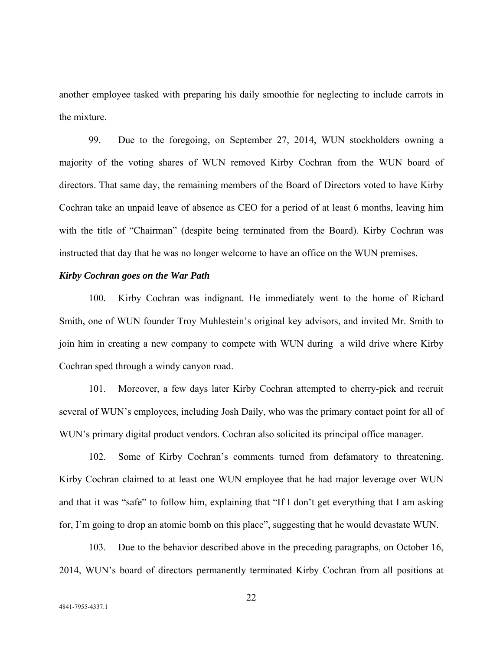another employee tasked with preparing his daily smoothie for neglecting to include carrots in the mixture.

99. Due to the foregoing, on September 27, 2014, WUN stockholders owning a majority of the voting shares of WUN removed Kirby Cochran from the WUN board of directors. That same day, the remaining members of the Board of Directors voted to have Kirby Cochran take an unpaid leave of absence as CEO for a period of at least 6 months, leaving him with the title of "Chairman" (despite being terminated from the Board). Kirby Cochran was instructed that day that he was no longer welcome to have an office on the WUN premises.

#### *Kirby Cochran goes on the War Path*

100. Kirby Cochran was indignant. He immediately went to the home of Richard Smith, one of WUN founder Troy Muhlestein's original key advisors, and invited Mr. Smith to join him in creating a new company to compete with WUN during a wild drive where Kirby Cochran sped through a windy canyon road.

101. Moreover, a few days later Kirby Cochran attempted to cherry-pick and recruit several of WUN's employees, including Josh Daily, who was the primary contact point for all of WUN's primary digital product vendors. Cochran also solicited its principal office manager.

102. Some of Kirby Cochran's comments turned from defamatory to threatening. Kirby Cochran claimed to at least one WUN employee that he had major leverage over WUN and that it was "safe" to follow him, explaining that "If I don't get everything that I am asking for, I'm going to drop an atomic bomb on this place", suggesting that he would devastate WUN.

103. Due to the behavior described above in the preceding paragraphs, on October 16, 2014, WUN's board of directors permanently terminated Kirby Cochran from all positions at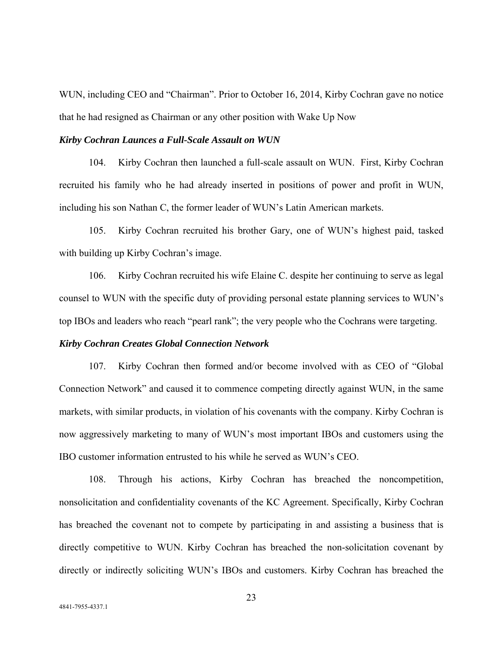WUN, including CEO and "Chairman". Prior to October 16, 2014, Kirby Cochran gave no notice that he had resigned as Chairman or any other position with Wake Up Now

#### *Kirby Cochran Launces a Full-Scale Assault on WUN*

104. Kirby Cochran then launched a full-scale assault on WUN. First, Kirby Cochran recruited his family who he had already inserted in positions of power and profit in WUN, including his son Nathan C, the former leader of WUN's Latin American markets.

105. Kirby Cochran recruited his brother Gary, one of WUN's highest paid, tasked with building up Kirby Cochran's image.

106. Kirby Cochran recruited his wife Elaine C. despite her continuing to serve as legal counsel to WUN with the specific duty of providing personal estate planning services to WUN's top IBOs and leaders who reach "pearl rank"; the very people who the Cochrans were targeting.

## *Kirby Cochran Creates Global Connection Network*

107. Kirby Cochran then formed and/or become involved with as CEO of "Global Connection Network" and caused it to commence competing directly against WUN, in the same markets, with similar products, in violation of his covenants with the company. Kirby Cochran is now aggressively marketing to many of WUN's most important IBOs and customers using the IBO customer information entrusted to his while he served as WUN's CEO.

108. Through his actions, Kirby Cochran has breached the noncompetition, nonsolicitation and confidentiality covenants of the KC Agreement. Specifically, Kirby Cochran has breached the covenant not to compete by participating in and assisting a business that is directly competitive to WUN. Kirby Cochran has breached the non-solicitation covenant by directly or indirectly soliciting WUN's IBOs and customers. Kirby Cochran has breached the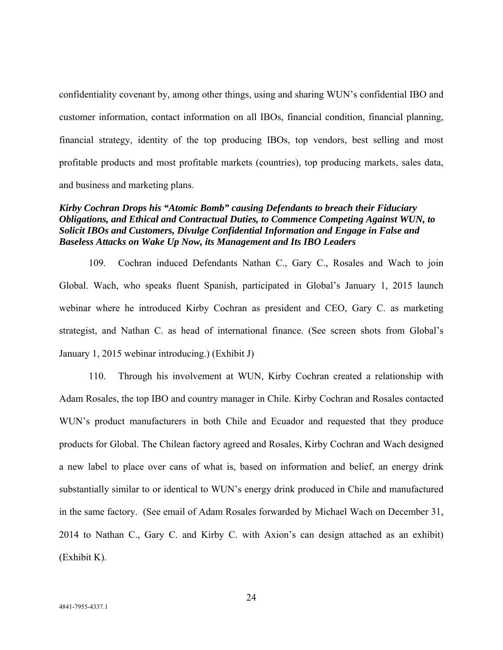confidentiality covenant by, among other things, using and sharing WUN's confidential IBO and customer information, contact information on all IBOs, financial condition, financial planning, financial strategy, identity of the top producing IBOs, top vendors, best selling and most profitable products and most profitable markets (countries), top producing markets, sales data, and business and marketing plans.

## *Kirby Cochran Drops his "Atomic Bomb" causing Defendants to breach their Fiduciary Obligations, and Ethical and Contractual Duties, to Commence Competing Against WUN, to Solicit IBOs and Customers, Divulge Confidential Information and Engage in False and Baseless Attacks on Wake Up Now, its Management and Its IBO Leaders*

109. Cochran induced Defendants Nathan C., Gary C., Rosales and Wach to join Global. Wach, who speaks fluent Spanish, participated in Global's January 1, 2015 launch webinar where he introduced Kirby Cochran as president and CEO, Gary C. as marketing strategist, and Nathan C. as head of international finance. (See screen shots from Global's January 1, 2015 webinar introducing.) (Exhibit J)

110. Through his involvement at WUN, Kirby Cochran created a relationship with Adam Rosales, the top IBO and country manager in Chile. Kirby Cochran and Rosales contacted WUN's product manufacturers in both Chile and Ecuador and requested that they produce products for Global. The Chilean factory agreed and Rosales, Kirby Cochran and Wach designed a new label to place over cans of what is, based on information and belief, an energy drink substantially similar to or identical to WUN's energy drink produced in Chile and manufactured in the same factory. (See email of Adam Rosales forwarded by Michael Wach on December 31, 2014 to Nathan C., Gary C. and Kirby C. with Axion's can design attached as an exhibit) (Exhibit K).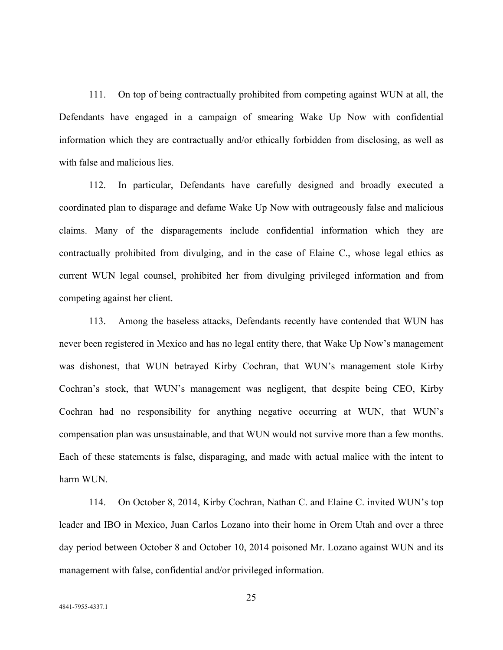111. On top of being contractually prohibited from competing against WUN at all, the Defendants have engaged in a campaign of smearing Wake Up Now with confidential information which they are contractually and/or ethically forbidden from disclosing, as well as with false and malicious lies.

112. In particular, Defendants have carefully designed and broadly executed a coordinated plan to disparage and defame Wake Up Now with outrageously false and malicious claims. Many of the disparagements include confidential information which they are contractually prohibited from divulging, and in the case of Elaine C., whose legal ethics as current WUN legal counsel, prohibited her from divulging privileged information and from competing against her client.

113. Among the baseless attacks, Defendants recently have contended that WUN has never been registered in Mexico and has no legal entity there, that Wake Up Now's management was dishonest, that WUN betrayed Kirby Cochran, that WUN's management stole Kirby Cochran's stock, that WUN's management was negligent, that despite being CEO, Kirby Cochran had no responsibility for anything negative occurring at WUN, that WUN's compensation plan was unsustainable, and that WUN would not survive more than a few months. Each of these statements is false, disparaging, and made with actual malice with the intent to harm WUN.

114. On October 8, 2014, Kirby Cochran, Nathan C. and Elaine C. invited WUN's top leader and IBO in Mexico, Juan Carlos Lozano into their home in Orem Utah and over a three day period between October 8 and October 10, 2014 poisoned Mr. Lozano against WUN and its management with false, confidential and/or privileged information.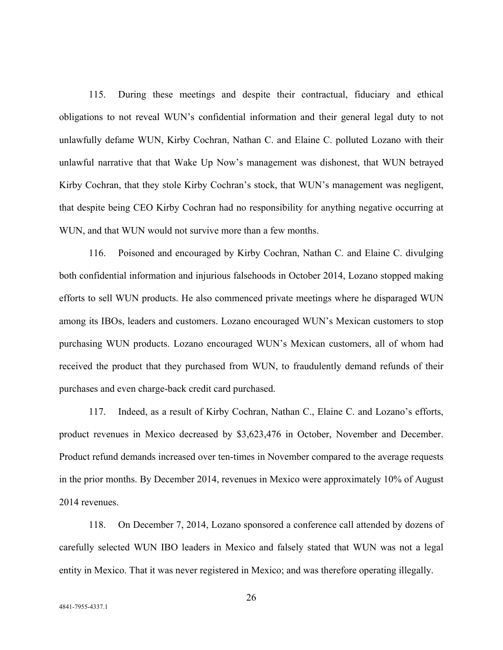115. During these meetings and despite their contractual, fiduciary and ethical obligations to not reveal WUN's confidential information and their general legal duty to not unlawfully defame WUN, Kirby Cochran, Nathan C. and Elaine C. polluted Lozano with their unlawful narrative that that Wake Up Now's management was dishonest, that WUN betrayed Kirby Cochran, that they stole Kirby Cochran's stock, that WUN's management was negligent, that despite being CEO Kirby Cochran had no responsibility for anything negative occurring at WUN, and that WUN would not survive more than a few months.

116. Poisoned and encouraged by Kirby Cochran, Nathan C. and Elaine C. divulging both confidential information and injurious falsehoods in October 2014, Lozano stopped making efforts to sell WUN products. He also commenced private meetings where he disparaged WUN among its IBOs, leaders and customers. Lozano encouraged WUN's Mexican customers to stop purchasing WUN products. Lozano encouraged WUN's Mexican customers, all of whom had received the product that they purchased from WUN, to fraudulently demand refunds of their purchases and even charge-back credit card purchased.

117. Indeed, as a result of Kirby Cochran, Nathan C., Elaine C. and Lozano's efforts, product revenues in Mexico decreased by \$3,623,476 in October, November and December. Product refund demands increased over ten-times in November compared to the average requests in the prior months. By December 2014, revenues in Mexico were approximately 10% of August 2014 revenues.

118. On December 7, 2014, Lozano sponsored a conference call attended by dozens of carefully selected WUN IBO leaders in Mexico and falsely stated that WUN was not a legal entity in Mexico. That it was never registered in Mexico; and was therefore operating illegally.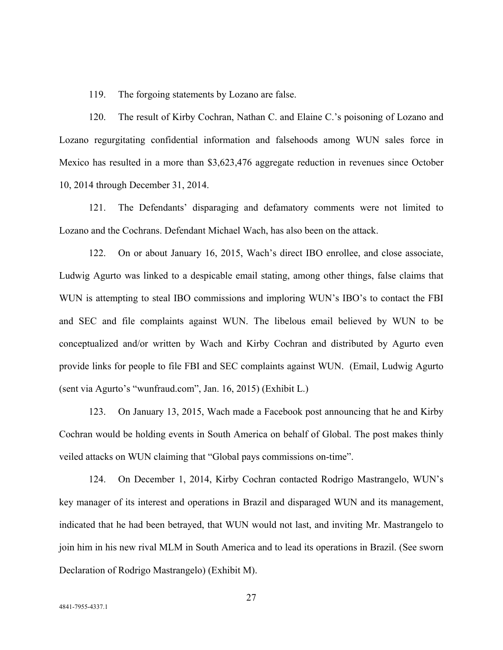119. The forgoing statements by Lozano are false.

120. The result of Kirby Cochran, Nathan C. and Elaine C.'s poisoning of Lozano and Lozano regurgitating confidential information and falsehoods among WUN sales force in Mexico has resulted in a more than \$3,623,476 aggregate reduction in revenues since October 10, 2014 through December 31, 2014.

121. The Defendants' disparaging and defamatory comments were not limited to Lozano and the Cochrans. Defendant Michael Wach, has also been on the attack.

122. On or about January 16, 2015, Wach's direct IBO enrollee, and close associate, Ludwig Agurto was linked to a despicable email stating, among other things, false claims that WUN is attempting to steal IBO commissions and imploring WUN's IBO's to contact the FBI and SEC and file complaints against WUN. The libelous email believed by WUN to be conceptualized and/or written by Wach and Kirby Cochran and distributed by Agurto even provide links for people to file FBI and SEC complaints against WUN. (Email, Ludwig Agurto (sent via Agurto's "wunfraud.com", Jan. 16, 2015) (Exhibit L.)

123. On January 13, 2015, Wach made a Facebook post announcing that he and Kirby Cochran would be holding events in South America on behalf of Global. The post makes thinly veiled attacks on WUN claiming that "Global pays commissions on-time".

124. On December 1, 2014, Kirby Cochran contacted Rodrigo Mastrangelo, WUN's key manager of its interest and operations in Brazil and disparaged WUN and its management, indicated that he had been betrayed, that WUN would not last, and inviting Mr. Mastrangelo to join him in his new rival MLM in South America and to lead its operations in Brazil. (See sworn Declaration of Rodrigo Mastrangelo) (Exhibit M).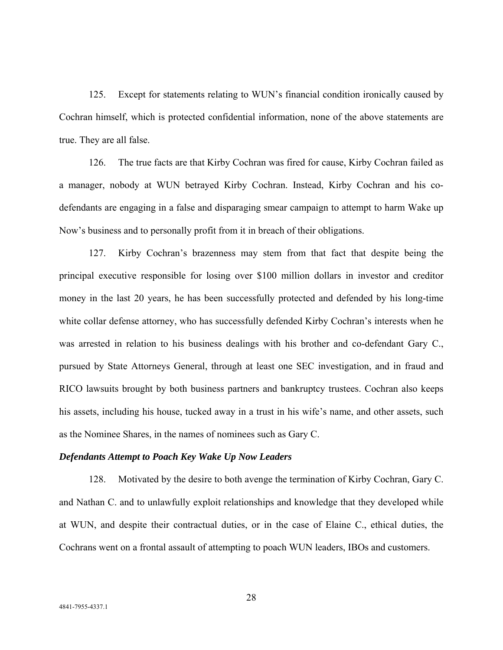125. Except for statements relating to WUN's financial condition ironically caused by Cochran himself, which is protected confidential information, none of the above statements are true. They are all false.

126. The true facts are that Kirby Cochran was fired for cause, Kirby Cochran failed as a manager, nobody at WUN betrayed Kirby Cochran. Instead, Kirby Cochran and his codefendants are engaging in a false and disparaging smear campaign to attempt to harm Wake up Now's business and to personally profit from it in breach of their obligations.

127. Kirby Cochran's brazenness may stem from that fact that despite being the principal executive responsible for losing over \$100 million dollars in investor and creditor money in the last 20 years, he has been successfully protected and defended by his long-time white collar defense attorney, who has successfully defended Kirby Cochran's interests when he was arrested in relation to his business dealings with his brother and co-defendant Gary C., pursued by State Attorneys General, through at least one SEC investigation, and in fraud and RICO lawsuits brought by both business partners and bankruptcy trustees. Cochran also keeps his assets, including his house, tucked away in a trust in his wife's name, and other assets, such as the Nominee Shares, in the names of nominees such as Gary C.

## *Defendants Attempt to Poach Key Wake Up Now Leaders*

128. Motivated by the desire to both avenge the termination of Kirby Cochran, Gary C. and Nathan C. and to unlawfully exploit relationships and knowledge that they developed while at WUN, and despite their contractual duties, or in the case of Elaine C., ethical duties, the Cochrans went on a frontal assault of attempting to poach WUN leaders, IBOs and customers.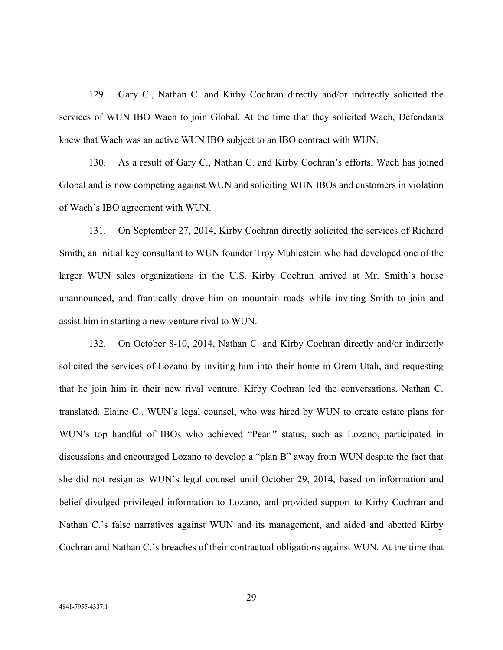129. Gary C., Nathan C. and Kirby Cochran directly and/or indirectly solicited the services of WUN IBO Wach to join Global. At the time that they solicited Wach, Defendants knew that Wach was an active WUN IBO subject to an IBO contract with WUN.

130. As a result of Gary C., Nathan C. and Kirby Cochran's efforts, Wach has joined Global and is now competing against WUN and soliciting WUN IBOs and customers in violation of Wach's IBO agreement with WUN.

131. On September 27, 2014, Kirby Cochran directly solicited the services of Richard Smith, an initial key consultant to WUN founder Troy Muhlestein who had developed one of the larger WUN sales organizations in the U.S. Kirby Cochran arrived at Mr. Smith's house unannounced, and frantically drove him on mountain roads while inviting Smith to join and assist him in starting a new venture rival to WUN.

132. On October 8-10, 2014, Nathan C. and Kirby Cochran directly and/or indirectly solicited the services of Lozano by inviting him into their home in Orem Utah, and requesting that he join him in their new rival venture. Kirby Cochran led the conversations. Nathan C. translated. Elaine C., WUN's legal counsel, who was hired by WUN to create estate plans for WUN's top handful of IBOs who achieved "Pearl" status, such as Lozano, participated in discussions and encouraged Lozano to develop a "plan B" away from WUN despite the fact that she did not resign as WUN's legal counsel until October 29, 2014, based on information and belief divulged privileged information to Lozano, and provided support to Kirby Cochran and Nathan C.'s false narratives against WUN and its management, and aided and abetted Kirby Cochran and Nathan C.'s breaches of their contractual obligations against WUN. At the time that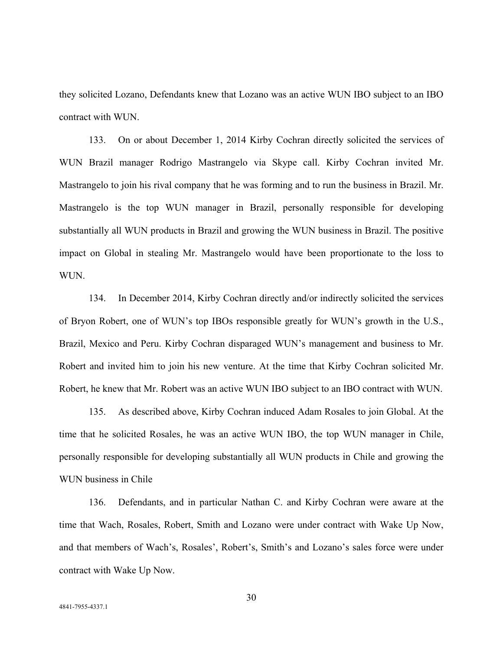they solicited Lozano, Defendants knew that Lozano was an active WUN IBO subject to an IBO contract with WUN.

133. On or about December 1, 2014 Kirby Cochran directly solicited the services of WUN Brazil manager Rodrigo Mastrangelo via Skype call. Kirby Cochran invited Mr. Mastrangelo to join his rival company that he was forming and to run the business in Brazil. Mr. Mastrangelo is the top WUN manager in Brazil, personally responsible for developing substantially all WUN products in Brazil and growing the WUN business in Brazil. The positive impact on Global in stealing Mr. Mastrangelo would have been proportionate to the loss to WUN.

134. In December 2014, Kirby Cochran directly and/or indirectly solicited the services of Bryon Robert, one of WUN's top IBOs responsible greatly for WUN's growth in the U.S., Brazil, Mexico and Peru. Kirby Cochran disparaged WUN's management and business to Mr. Robert and invited him to join his new venture. At the time that Kirby Cochran solicited Mr. Robert, he knew that Mr. Robert was an active WUN IBO subject to an IBO contract with WUN.

135. As described above, Kirby Cochran induced Adam Rosales to join Global. At the time that he solicited Rosales, he was an active WUN IBO, the top WUN manager in Chile, personally responsible for developing substantially all WUN products in Chile and growing the WUN business in Chile

136. Defendants, and in particular Nathan C. and Kirby Cochran were aware at the time that Wach, Rosales, Robert, Smith and Lozano were under contract with Wake Up Now, and that members of Wach's, Rosales', Robert's, Smith's and Lozano's sales force were under contract with Wake Up Now.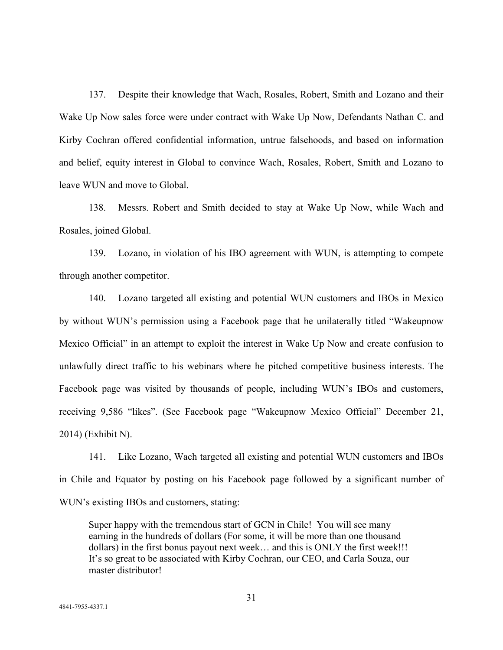137. Despite their knowledge that Wach, Rosales, Robert, Smith and Lozano and their Wake Up Now sales force were under contract with Wake Up Now, Defendants Nathan C. and Kirby Cochran offered confidential information, untrue falsehoods, and based on information and belief, equity interest in Global to convince Wach, Rosales, Robert, Smith and Lozano to leave WUN and move to Global.

138. Messrs. Robert and Smith decided to stay at Wake Up Now, while Wach and Rosales, joined Global.

139. Lozano, in violation of his IBO agreement with WUN, is attempting to compete through another competitor.

140. Lozano targeted all existing and potential WUN customers and IBOs in Mexico by without WUN's permission using a Facebook page that he unilaterally titled "Wakeupnow Mexico Official" in an attempt to exploit the interest in Wake Up Now and create confusion to unlawfully direct traffic to his webinars where he pitched competitive business interests. The Facebook page was visited by thousands of people, including WUN's IBOs and customers, receiving 9,586 "likes". (See Facebook page "Wakeupnow Mexico Official" December 21, 2014) (Exhibit N).

141. Like Lozano, Wach targeted all existing and potential WUN customers and IBOs in Chile and Equator by posting on his Facebook page followed by a significant number of WUN's existing IBOs and customers, stating:

Super happy with the tremendous start of GCN in Chile! You will see many earning in the hundreds of dollars (For some, it will be more than one thousand dollars) in the first bonus payout next week… and this is ONLY the first week!!! It's so great to be associated with Kirby Cochran, our CEO, and Carla Souza, our master distributor!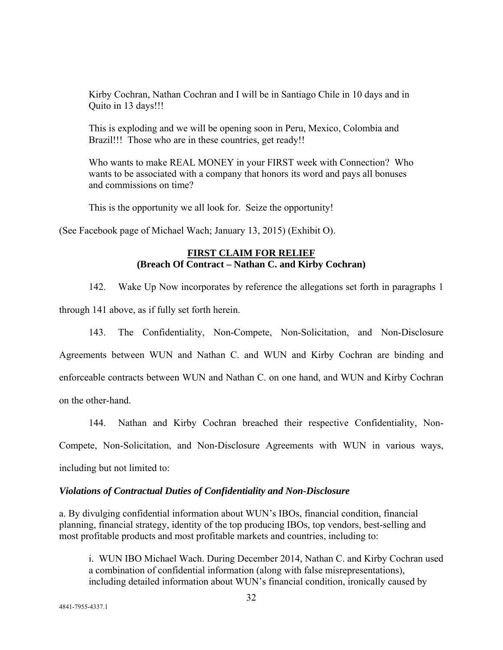Kirby Cochran, Nathan Cochran and I will be in Santiago Chile in 10 days and in Quito in 13 days!!!

This is exploding and we will be opening soon in Peru, Mexico, Colombia and Brazil!!! Those who are in these countries, get ready!!

Who wants to make REAL MONEY in your FIRST week with Connection? Who wants to be associated with a company that honors its word and pays all bonuses and commissions on time?

This is the opportunity we all look for. Seize the opportunity!

(See Facebook page of Michael Wach; January 13, 2015) (Exhibit O).

## **FIRST CLAIM FOR RELIEF (Breach Of Contract – Nathan C. and Kirby Cochran)**

142. Wake Up Now incorporates by reference the allegations set forth in paragraphs 1 through 141 above, as if fully set forth herein.

143. The Confidentiality, Non-Compete, Non-Solicitation, and Non-Disclosure Agreements between WUN and Nathan C. and WUN and Kirby Cochran are binding and enforceable contracts between WUN and Nathan C. on one hand, and WUN and Kirby Cochran on the other-hand.

144. Nathan and Kirby Cochran breached their respective Confidentiality, Non-

Compete, Non-Solicitation, and Non-Disclosure Agreements with WUN in various ways,

including but not limited to:

#### *Violations of Contractual Duties of Confidentiality and Non-Disclosure*

a. By divulging confidential information about WUN's IBOs, financial condition, financial planning, financial strategy, identity of the top producing IBOs, top vendors, best-selling and most profitable products and most profitable markets and countries, including to:

i. WUN IBO Michael Wach. During December 2014, Nathan C. and Kirby Cochran used a combination of confidential information (along with false misrepresentations), including detailed information about WUN's financial condition, ironically caused by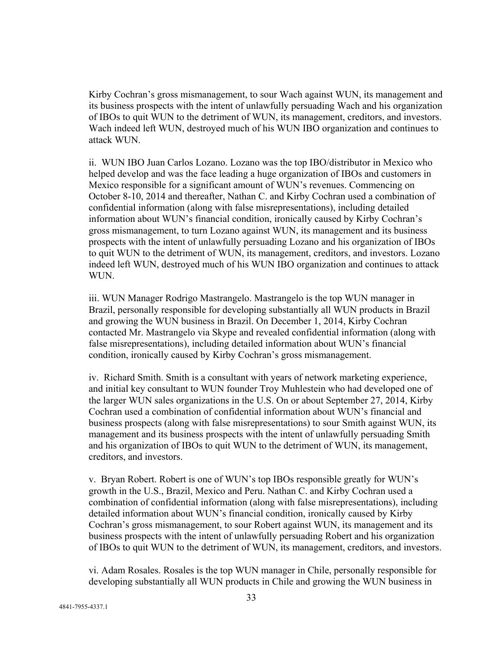Kirby Cochran's gross mismanagement, to sour Wach against WUN, its management and its business prospects with the intent of unlawfully persuading Wach and his organization of IBOs to quit WUN to the detriment of WUN, its management, creditors, and investors. Wach indeed left WUN, destroyed much of his WUN IBO organization and continues to attack WUN.

ii. WUN IBO Juan Carlos Lozano. Lozano was the top IBO/distributor in Mexico who helped develop and was the face leading a huge organization of IBOs and customers in Mexico responsible for a significant amount of WUN's revenues. Commencing on October 8-10, 2014 and thereafter, Nathan C. and Kirby Cochran used a combination of confidential information (along with false misrepresentations), including detailed information about WUN's financial condition, ironically caused by Kirby Cochran's gross mismanagement, to turn Lozano against WUN, its management and its business prospects with the intent of unlawfully persuading Lozano and his organization of IBOs to quit WUN to the detriment of WUN, its management, creditors, and investors. Lozano indeed left WUN, destroyed much of his WUN IBO organization and continues to attack WUN.

iii. WUN Manager Rodrigo Mastrangelo. Mastrangelo is the top WUN manager in Brazil, personally responsible for developing substantially all WUN products in Brazil and growing the WUN business in Brazil. On December 1, 2014, Kirby Cochran contacted Mr. Mastrangelo via Skype and revealed confidential information (along with false misrepresentations), including detailed information about WUN's financial condition, ironically caused by Kirby Cochran's gross mismanagement.

iv. Richard Smith. Smith is a consultant with years of network marketing experience, and initial key consultant to WUN founder Troy Muhlestein who had developed one of the larger WUN sales organizations in the U.S. On or about September 27, 2014, Kirby Cochran used a combination of confidential information about WUN's financial and business prospects (along with false misrepresentations) to sour Smith against WUN, its management and its business prospects with the intent of unlawfully persuading Smith and his organization of IBOs to quit WUN to the detriment of WUN, its management, creditors, and investors.

v. Bryan Robert. Robert is one of WUN's top IBOs responsible greatly for WUN's growth in the U.S., Brazil, Mexico and Peru. Nathan C. and Kirby Cochran used a combination of confidential information (along with false misrepresentations), including detailed information about WUN's financial condition, ironically caused by Kirby Cochran's gross mismanagement, to sour Robert against WUN, its management and its business prospects with the intent of unlawfully persuading Robert and his organization of IBOs to quit WUN to the detriment of WUN, its management, creditors, and investors.

vi. Adam Rosales. Rosales is the top WUN manager in Chile, personally responsible for developing substantially all WUN products in Chile and growing the WUN business in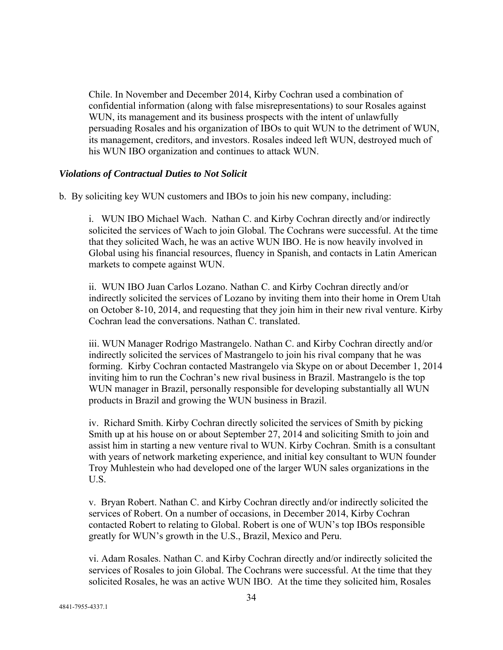Chile. In November and December 2014, Kirby Cochran used a combination of confidential information (along with false misrepresentations) to sour Rosales against WUN, its management and its business prospects with the intent of unlawfully persuading Rosales and his organization of IBOs to quit WUN to the detriment of WUN, its management, creditors, and investors. Rosales indeed left WUN, destroyed much of his WUN IBO organization and continues to attack WUN.

## *Violations of Contractual Duties to Not Solicit*

b. By soliciting key WUN customers and IBOs to join his new company, including:

i. WUN IBO Michael Wach. Nathan C. and Kirby Cochran directly and/or indirectly solicited the services of Wach to join Global. The Cochrans were successful. At the time that they solicited Wach, he was an active WUN IBO. He is now heavily involved in Global using his financial resources, fluency in Spanish, and contacts in Latin American markets to compete against WUN.

ii. WUN IBO Juan Carlos Lozano. Nathan C. and Kirby Cochran directly and/or indirectly solicited the services of Lozano by inviting them into their home in Orem Utah on October 8-10, 2014, and requesting that they join him in their new rival venture. Kirby Cochran lead the conversations. Nathan C. translated.

iii. WUN Manager Rodrigo Mastrangelo. Nathan C. and Kirby Cochran directly and/or indirectly solicited the services of Mastrangelo to join his rival company that he was forming. Kirby Cochran contacted Mastrangelo via Skype on or about December 1, 2014 inviting him to run the Cochran's new rival business in Brazil. Mastrangelo is the top WUN manager in Brazil, personally responsible for developing substantially all WUN products in Brazil and growing the WUN business in Brazil.

iv. Richard Smith. Kirby Cochran directly solicited the services of Smith by picking Smith up at his house on or about September 27, 2014 and soliciting Smith to join and assist him in starting a new venture rival to WUN. Kirby Cochran. Smith is a consultant with years of network marketing experience, and initial key consultant to WUN founder Troy Muhlestein who had developed one of the larger WUN sales organizations in the U.S.

v. Bryan Robert. Nathan C. and Kirby Cochran directly and/or indirectly solicited the services of Robert. On a number of occasions, in December 2014, Kirby Cochran contacted Robert to relating to Global. Robert is one of WUN's top IBOs responsible greatly for WUN's growth in the U.S., Brazil, Mexico and Peru.

vi. Adam Rosales. Nathan C. and Kirby Cochran directly and/or indirectly solicited the services of Rosales to join Global. The Cochrans were successful. At the time that they solicited Rosales, he was an active WUN IBO. At the time they solicited him, Rosales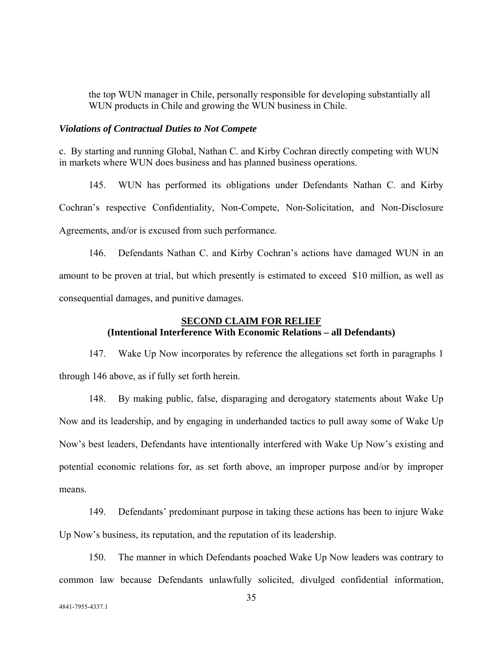the top WUN manager in Chile, personally responsible for developing substantially all WUN products in Chile and growing the WUN business in Chile.

#### *Violations of Contractual Duties to Not Compete*

c. By starting and running Global, Nathan C. and Kirby Cochran directly competing with WUN in markets where WUN does business and has planned business operations.

145. WUN has performed its obligations under Defendants Nathan C. and Kirby Cochran's respective Confidentiality, Non-Compete, Non-Solicitation, and Non-Disclosure Agreements, and/or is excused from such performance.

146. Defendants Nathan C. and Kirby Cochran's actions have damaged WUN in an amount to be proven at trial, but which presently is estimated to exceed \$10 million, as well as consequential damages, and punitive damages.

## **SECOND CLAIM FOR RELIEF (Intentional Interference With Economic Relations – all Defendants)**

147. Wake Up Now incorporates by reference the allegations set forth in paragraphs 1 through 146 above, as if fully set forth herein.

148. By making public, false, disparaging and derogatory statements about Wake Up Now and its leadership, and by engaging in underhanded tactics to pull away some of Wake Up Now's best leaders, Defendants have intentionally interfered with Wake Up Now's existing and potential economic relations for, as set forth above, an improper purpose and/or by improper means.

149. Defendants' predominant purpose in taking these actions has been to injure Wake Up Now's business, its reputation, and the reputation of its leadership.

150. The manner in which Defendants poached Wake Up Now leaders was contrary to common law because Defendants unlawfully solicited, divulged confidential information,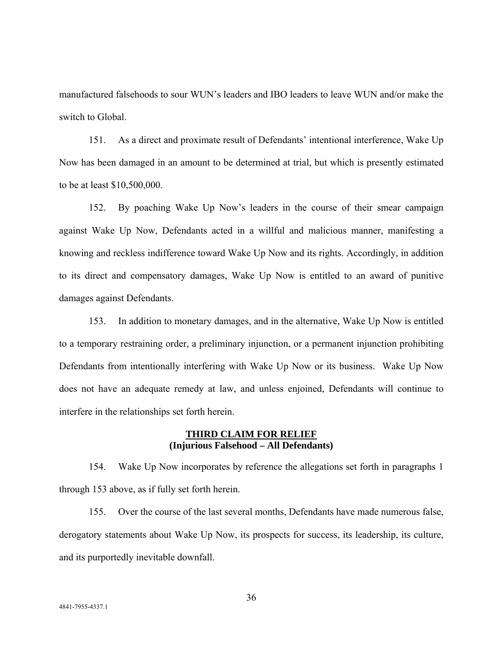manufactured falsehoods to sour WUN's leaders and IBO leaders to leave WUN and/or make the switch to Global.

151. As a direct and proximate result of Defendants' intentional interference, Wake Up Now has been damaged in an amount to be determined at trial, but which is presently estimated to be at least \$10,500,000.

152. By poaching Wake Up Now's leaders in the course of their smear campaign against Wake Up Now, Defendants acted in a willful and malicious manner, manifesting a knowing and reckless indifference toward Wake Up Now and its rights. Accordingly, in addition to its direct and compensatory damages, Wake Up Now is entitled to an award of punitive damages against Defendants.

153. In addition to monetary damages, and in the alternative, Wake Up Now is entitled to a temporary restraining order, a preliminary injunction, or a permanent injunction prohibiting Defendants from intentionally interfering with Wake Up Now or its business. Wake Up Now does not have an adequate remedy at law, and unless enjoined, Defendants will continue to interfere in the relationships set forth herein.

#### **THIRD CLAIM FOR RELIEF (Injurious Falsehood – All Defendants)**

154. Wake Up Now incorporates by reference the allegations set forth in paragraphs 1 through 153 above, as if fully set forth herein.

155. Over the course of the last several months, Defendants have made numerous false, derogatory statements about Wake Up Now, its prospects for success, its leadership, its culture, and its purportedly inevitable downfall.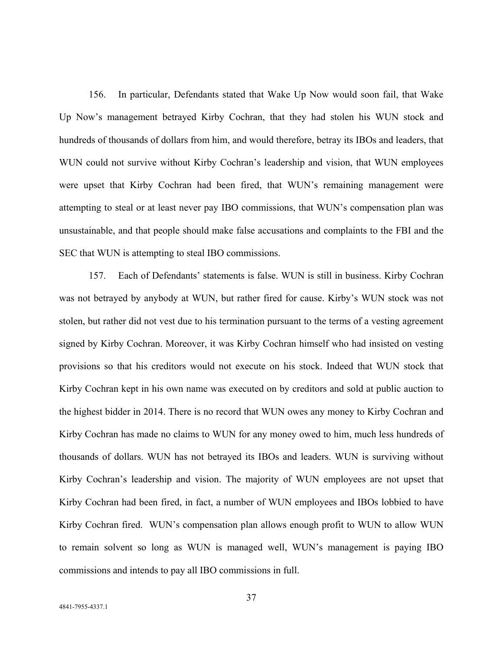156. In particular, Defendants stated that Wake Up Now would soon fail, that Wake Up Now's management betrayed Kirby Cochran, that they had stolen his WUN stock and hundreds of thousands of dollars from him, and would therefore, betray its IBOs and leaders, that WUN could not survive without Kirby Cochran's leadership and vision, that WUN employees were upset that Kirby Cochran had been fired, that WUN's remaining management were attempting to steal or at least never pay IBO commissions, that WUN's compensation plan was unsustainable, and that people should make false accusations and complaints to the FBI and the SEC that WUN is attempting to steal IBO commissions.

157. Each of Defendants' statements is false. WUN is still in business. Kirby Cochran was not betrayed by anybody at WUN, but rather fired for cause. Kirby's WUN stock was not stolen, but rather did not vest due to his termination pursuant to the terms of a vesting agreement signed by Kirby Cochran. Moreover, it was Kirby Cochran himself who had insisted on vesting provisions so that his creditors would not execute on his stock. Indeed that WUN stock that Kirby Cochran kept in his own name was executed on by creditors and sold at public auction to the highest bidder in 2014. There is no record that WUN owes any money to Kirby Cochran and Kirby Cochran has made no claims to WUN for any money owed to him, much less hundreds of thousands of dollars. WUN has not betrayed its IBOs and leaders. WUN is surviving without Kirby Cochran's leadership and vision. The majority of WUN employees are not upset that Kirby Cochran had been fired, in fact, a number of WUN employees and IBOs lobbied to have Kirby Cochran fired. WUN's compensation plan allows enough profit to WUN to allow WUN to remain solvent so long as WUN is managed well, WUN's management is paying IBO commissions and intends to pay all IBO commissions in full.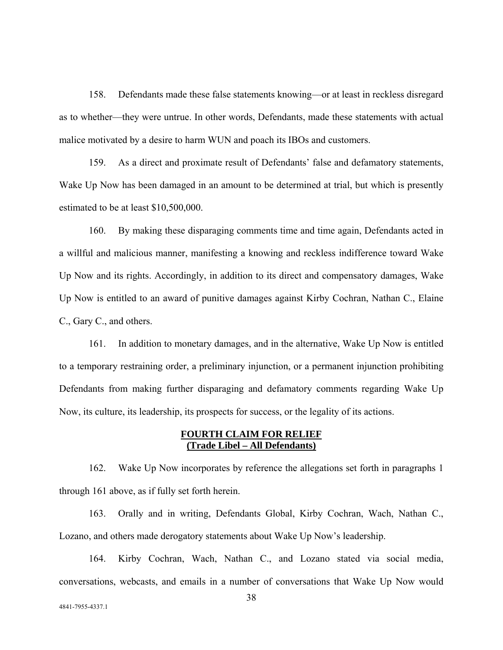158. Defendants made these false statements knowing—or at least in reckless disregard as to whether—they were untrue. In other words, Defendants, made these statements with actual malice motivated by a desire to harm WUN and poach its IBOs and customers.

159. As a direct and proximate result of Defendants' false and defamatory statements, Wake Up Now has been damaged in an amount to be determined at trial, but which is presently estimated to be at least \$10,500,000.

160. By making these disparaging comments time and time again, Defendants acted in a willful and malicious manner, manifesting a knowing and reckless indifference toward Wake Up Now and its rights. Accordingly, in addition to its direct and compensatory damages, Wake Up Now is entitled to an award of punitive damages against Kirby Cochran, Nathan C., Elaine C., Gary C., and others.

161. In addition to monetary damages, and in the alternative, Wake Up Now is entitled to a temporary restraining order, a preliminary injunction, or a permanent injunction prohibiting Defendants from making further disparaging and defamatory comments regarding Wake Up Now, its culture, its leadership, its prospects for success, or the legality of its actions.

## **FOURTH CLAIM FOR RELIEF (Trade Libel – All Defendants)**

162. Wake Up Now incorporates by reference the allegations set forth in paragraphs 1 through 161 above, as if fully set forth herein.

163. Orally and in writing, Defendants Global, Kirby Cochran, Wach, Nathan C., Lozano, and others made derogatory statements about Wake Up Now's leadership.

164. Kirby Cochran, Wach, Nathan C., and Lozano stated via social media, conversations, webcasts, and emails in a number of conversations that Wake Up Now would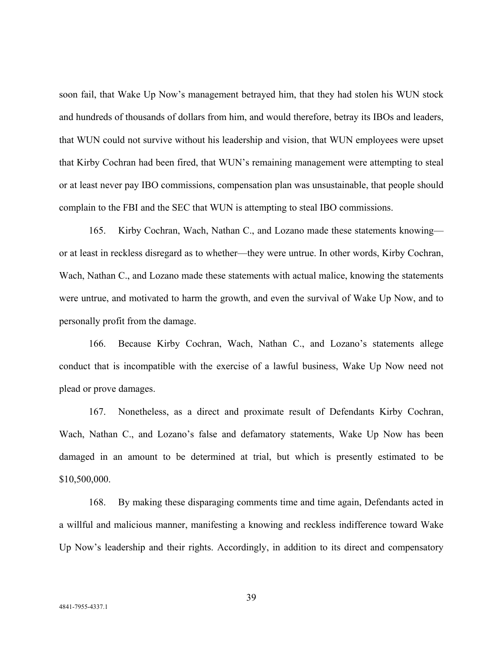soon fail, that Wake Up Now's management betrayed him, that they had stolen his WUN stock and hundreds of thousands of dollars from him, and would therefore, betray its IBOs and leaders, that WUN could not survive without his leadership and vision, that WUN employees were upset that Kirby Cochran had been fired, that WUN's remaining management were attempting to steal or at least never pay IBO commissions, compensation plan was unsustainable, that people should complain to the FBI and the SEC that WUN is attempting to steal IBO commissions.

165. Kirby Cochran, Wach, Nathan C., and Lozano made these statements knowing or at least in reckless disregard as to whether—they were untrue. In other words, Kirby Cochran, Wach, Nathan C., and Lozano made these statements with actual malice, knowing the statements were untrue, and motivated to harm the growth, and even the survival of Wake Up Now, and to personally profit from the damage.

166. Because Kirby Cochran, Wach, Nathan C., and Lozano's statements allege conduct that is incompatible with the exercise of a lawful business, Wake Up Now need not plead or prove damages.

167. Nonetheless, as a direct and proximate result of Defendants Kirby Cochran, Wach, Nathan C., and Lozano's false and defamatory statements, Wake Up Now has been damaged in an amount to be determined at trial, but which is presently estimated to be \$10,500,000.

168. By making these disparaging comments time and time again, Defendants acted in a willful and malicious manner, manifesting a knowing and reckless indifference toward Wake Up Now's leadership and their rights. Accordingly, in addition to its direct and compensatory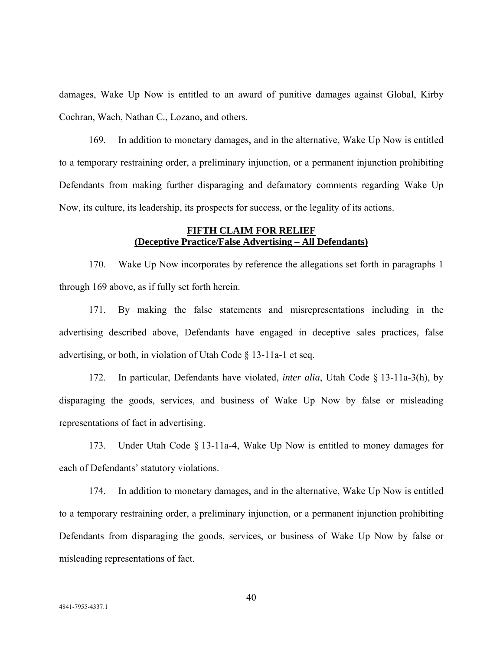damages, Wake Up Now is entitled to an award of punitive damages against Global, Kirby Cochran, Wach, Nathan C., Lozano, and others.

169. In addition to monetary damages, and in the alternative, Wake Up Now is entitled to a temporary restraining order, a preliminary injunction, or a permanent injunction prohibiting Defendants from making further disparaging and defamatory comments regarding Wake Up Now, its culture, its leadership, its prospects for success, or the legality of its actions.

## **FIFTH CLAIM FOR RELIEF (Deceptive Practice/False Advertising – All Defendants)**

170. Wake Up Now incorporates by reference the allegations set forth in paragraphs 1 through 169 above, as if fully set forth herein.

171. By making the false statements and misrepresentations including in the advertising described above, Defendants have engaged in deceptive sales practices, false advertising, or both, in violation of Utah Code  $\S$  13-11a-1 et seq.

172. In particular, Defendants have violated, *inter alia*, Utah Code § 13-11a-3(h), by disparaging the goods, services, and business of Wake Up Now by false or misleading representations of fact in advertising.

173. Under Utah Code § 13-11a-4, Wake Up Now is entitled to money damages for each of Defendants' statutory violations.

174. In addition to monetary damages, and in the alternative, Wake Up Now is entitled to a temporary restraining order, a preliminary injunction, or a permanent injunction prohibiting Defendants from disparaging the goods, services, or business of Wake Up Now by false or misleading representations of fact.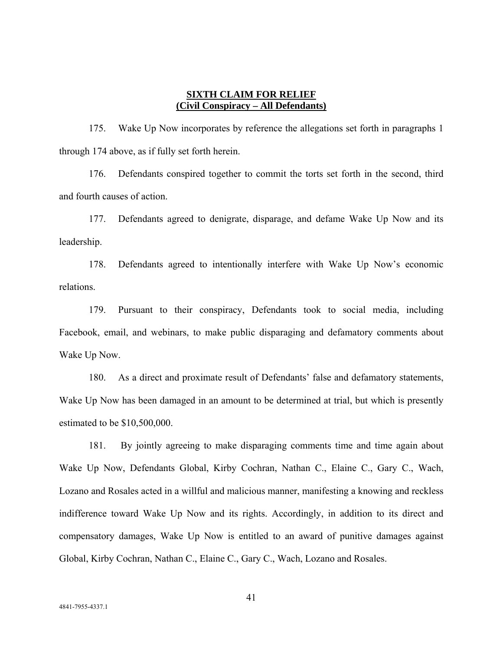### **SIXTH CLAIM FOR RELIEF (Civil Conspiracy – All Defendants)**

175. Wake Up Now incorporates by reference the allegations set forth in paragraphs 1 through 174 above, as if fully set forth herein.

176. Defendants conspired together to commit the torts set forth in the second, third and fourth causes of action.

177. Defendants agreed to denigrate, disparage, and defame Wake Up Now and its leadership.

178. Defendants agreed to intentionally interfere with Wake Up Now's economic relations.

179. Pursuant to their conspiracy, Defendants took to social media, including Facebook, email, and webinars, to make public disparaging and defamatory comments about Wake Up Now.

180. As a direct and proximate result of Defendants' false and defamatory statements, Wake Up Now has been damaged in an amount to be determined at trial, but which is presently estimated to be \$10,500,000.

181. By jointly agreeing to make disparaging comments time and time again about Wake Up Now, Defendants Global, Kirby Cochran, Nathan C., Elaine C., Gary C., Wach, Lozano and Rosales acted in a willful and malicious manner, manifesting a knowing and reckless indifference toward Wake Up Now and its rights. Accordingly, in addition to its direct and compensatory damages, Wake Up Now is entitled to an award of punitive damages against Global, Kirby Cochran, Nathan C., Elaine C., Gary C., Wach, Lozano and Rosales.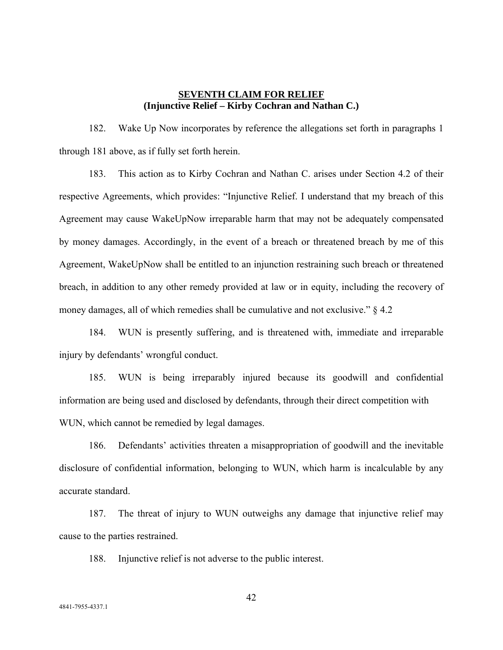## **SEVENTH CLAIM FOR RELIEF (Injunctive Relief – Kirby Cochran and Nathan C.)**

182. Wake Up Now incorporates by reference the allegations set forth in paragraphs 1 through 181 above, as if fully set forth herein.

183. This action as to Kirby Cochran and Nathan C. arises under Section 4.2 of their respective Agreements, which provides: "Injunctive Relief. I understand that my breach of this Agreement may cause WakeUpNow irreparable harm that may not be adequately compensated by money damages. Accordingly, in the event of a breach or threatened breach by me of this Agreement, WakeUpNow shall be entitled to an injunction restraining such breach or threatened breach, in addition to any other remedy provided at law or in equity, including the recovery of money damages, all of which remedies shall be cumulative and not exclusive." § 4.2

184. WUN is presently suffering, and is threatened with, immediate and irreparable injury by defendants' wrongful conduct.

185. WUN is being irreparably injured because its goodwill and confidential information are being used and disclosed by defendants, through their direct competition with WUN, which cannot be remedied by legal damages.

186. Defendants' activities threaten a misappropriation of goodwill and the inevitable disclosure of confidential information, belonging to WUN, which harm is incalculable by any accurate standard.

187. The threat of injury to WUN outweighs any damage that injunctive relief may cause to the parties restrained.

188. Injunctive relief is not adverse to the public interest.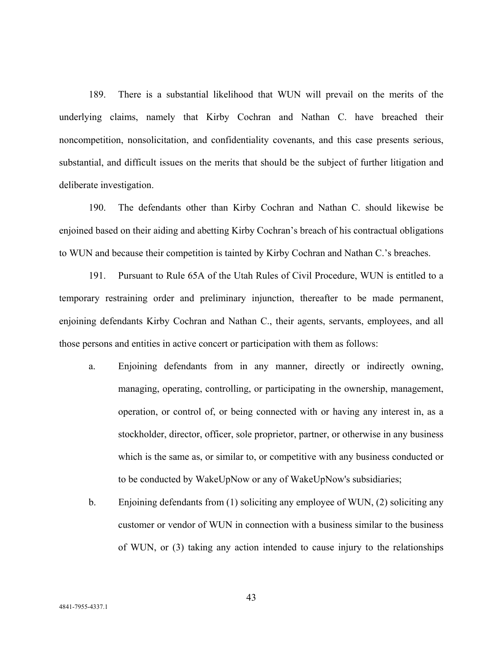189. There is a substantial likelihood that WUN will prevail on the merits of the underlying claims, namely that Kirby Cochran and Nathan C. have breached their noncompetition, nonsolicitation, and confidentiality covenants, and this case presents serious, substantial, and difficult issues on the merits that should be the subject of further litigation and deliberate investigation.

190. The defendants other than Kirby Cochran and Nathan C. should likewise be enjoined based on their aiding and abetting Kirby Cochran's breach of his contractual obligations to WUN and because their competition is tainted by Kirby Cochran and Nathan C.'s breaches.

191. Pursuant to Rule 65A of the Utah Rules of Civil Procedure, WUN is entitled to a temporary restraining order and preliminary injunction, thereafter to be made permanent, enjoining defendants Kirby Cochran and Nathan C., their agents, servants, employees, and all those persons and entities in active concert or participation with them as follows:

- a. Enjoining defendants from in any manner, directly or indirectly owning, managing, operating, controlling, or participating in the ownership, management, operation, or control of, or being connected with or having any interest in, as a stockholder, director, officer, sole proprietor, partner, or otherwise in any business which is the same as, or similar to, or competitive with any business conducted or to be conducted by WakeUpNow or any of WakeUpNow's subsidiaries;
- b. Enjoining defendants from (1) soliciting any employee of WUN, (2) soliciting any customer or vendor of WUN in connection with a business similar to the business of WUN, or (3) taking any action intended to cause injury to the relationships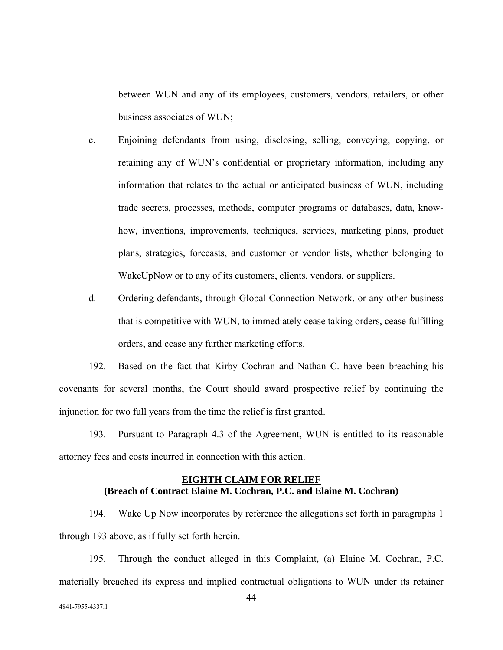between WUN and any of its employees, customers, vendors, retailers, or other business associates of WUN;

- c. Enjoining defendants from using, disclosing, selling, conveying, copying, or retaining any of WUN's confidential or proprietary information, including any information that relates to the actual or anticipated business of WUN, including trade secrets, processes, methods, computer programs or databases, data, knowhow, inventions, improvements, techniques, services, marketing plans, product plans, strategies, forecasts, and customer or vendor lists, whether belonging to WakeUpNow or to any of its customers, clients, vendors, or suppliers.
- d. Ordering defendants, through Global Connection Network, or any other business that is competitive with WUN, to immediately cease taking orders, cease fulfilling orders, and cease any further marketing efforts.

192. Based on the fact that Kirby Cochran and Nathan C. have been breaching his covenants for several months, the Court should award prospective relief by continuing the injunction for two full years from the time the relief is first granted.

193. Pursuant to Paragraph 4.3 of the Agreement, WUN is entitled to its reasonable attorney fees and costs incurred in connection with this action.

# **EIGHTH CLAIM FOR RELIEF (Breach of Contract Elaine M. Cochran, P.C. and Elaine M. Cochran)**

194. Wake Up Now incorporates by reference the allegations set forth in paragraphs 1 through 193 above, as if fully set forth herein.

195. Through the conduct alleged in this Complaint, (a) Elaine M. Cochran, P.C. materially breached its express and implied contractual obligations to WUN under its retainer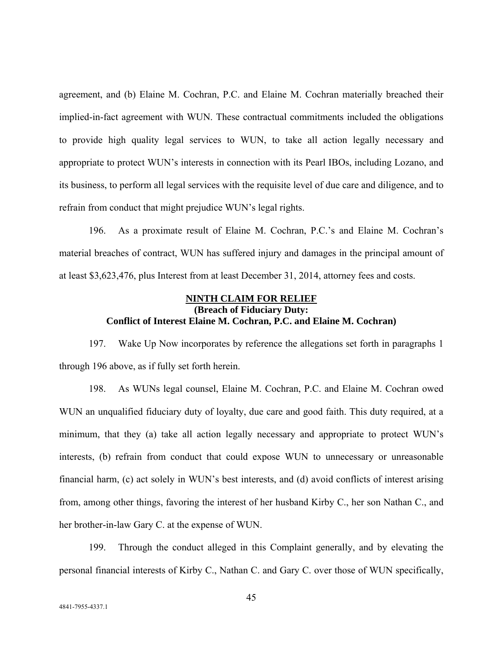agreement, and (b) Elaine M. Cochran, P.C. and Elaine M. Cochran materially breached their implied-in-fact agreement with WUN. These contractual commitments included the obligations to provide high quality legal services to WUN, to take all action legally necessary and appropriate to protect WUN's interests in connection with its Pearl IBOs, including Lozano, and its business, to perform all legal services with the requisite level of due care and diligence, and to refrain from conduct that might prejudice WUN's legal rights.

196. As a proximate result of Elaine M. Cochran, P.C.'s and Elaine M. Cochran's material breaches of contract, WUN has suffered injury and damages in the principal amount of at least \$3,623,476, plus Interest from at least December 31, 2014, attorney fees and costs.

## **NINTH CLAIM FOR RELIEF (Breach of Fiduciary Duty: Conflict of Interest Elaine M. Cochran, P.C. and Elaine M. Cochran)**

197. Wake Up Now incorporates by reference the allegations set forth in paragraphs 1 through 196 above, as if fully set forth herein.

198. As WUNs legal counsel, Elaine M. Cochran, P.C. and Elaine M. Cochran owed WUN an unqualified fiduciary duty of loyalty, due care and good faith. This duty required, at a minimum, that they (a) take all action legally necessary and appropriate to protect WUN's interests, (b) refrain from conduct that could expose WUN to unnecessary or unreasonable financial harm, (c) act solely in WUN's best interests, and (d) avoid conflicts of interest arising from, among other things, favoring the interest of her husband Kirby C., her son Nathan C., and her brother-in-law Gary C. at the expense of WUN.

199. Through the conduct alleged in this Complaint generally, and by elevating the personal financial interests of Kirby C., Nathan C. and Gary C. over those of WUN specifically,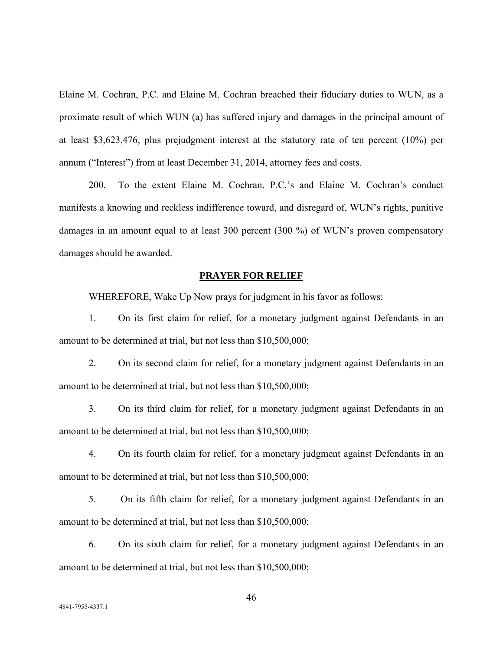Elaine M. Cochran, P.C. and Elaine M. Cochran breached their fiduciary duties to WUN, as a proximate result of which WUN (a) has suffered injury and damages in the principal amount of at least \$3,623,476, plus prejudgment interest at the statutory rate of ten percent (10%) per annum ("Interest") from at least December 31, 2014, attorney fees and costs.

200. To the extent Elaine M. Cochran, P.C.'s and Elaine M. Cochran's conduct manifests a knowing and reckless indifference toward, and disregard of, WUN's rights, punitive damages in an amount equal to at least 300 percent (300 %) of WUN's proven compensatory damages should be awarded.

### **PRAYER FOR RELIEF**

WHEREFORE, Wake Up Now prays for judgment in his favor as follows:

1. On its first claim for relief, for a monetary judgment against Defendants in an amount to be determined at trial, but not less than \$10,500,000;

2. On its second claim for relief, for a monetary judgment against Defendants in an amount to be determined at trial, but not less than \$10,500,000;

3. On its third claim for relief, for a monetary judgment against Defendants in an amount to be determined at trial, but not less than \$10,500,000;

4. On its fourth claim for relief, for a monetary judgment against Defendants in an amount to be determined at trial, but not less than \$10,500,000;

5. On its fifth claim for relief, for a monetary judgment against Defendants in an amount to be determined at trial, but not less than \$10,500,000;

6. On its sixth claim for relief, for a monetary judgment against Defendants in an amount to be determined at trial, but not less than \$10,500,000;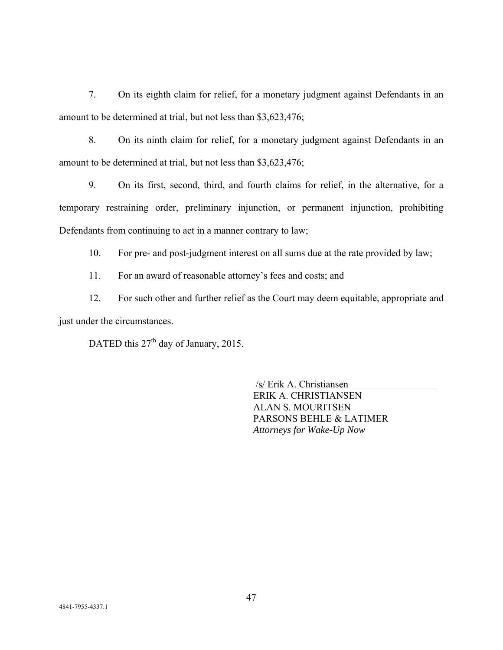7. On its eighth claim for relief, for a monetary judgment against Defendants in an amount to be determined at trial, but not less than \$3,623,476;

8. On its ninth claim for relief, for a monetary judgment against Defendants in an amount to be determined at trial, but not less than \$3,623,476;

9. On its first, second, third, and fourth claims for relief, in the alternative, for a temporary restraining order, preliminary injunction, or permanent injunction, prohibiting Defendants from continuing to act in a manner contrary to law;

10. For pre- and post-judgment interest on all sums due at the rate provided by law;

11. For an award of reasonable attorney's fees and costs; and

12. For such other and further relief as the Court may deem equitable, appropriate and just under the circumstances.

DATED this  $27<sup>th</sup>$  day of January, 2015.

 /s/ Erik A. Christiansen ERIK A. CHRISTIANSEN ALAN S. MOURITSEN PARSONS BEHLE & LATIMER *Attorneys for Wake-Up Now*